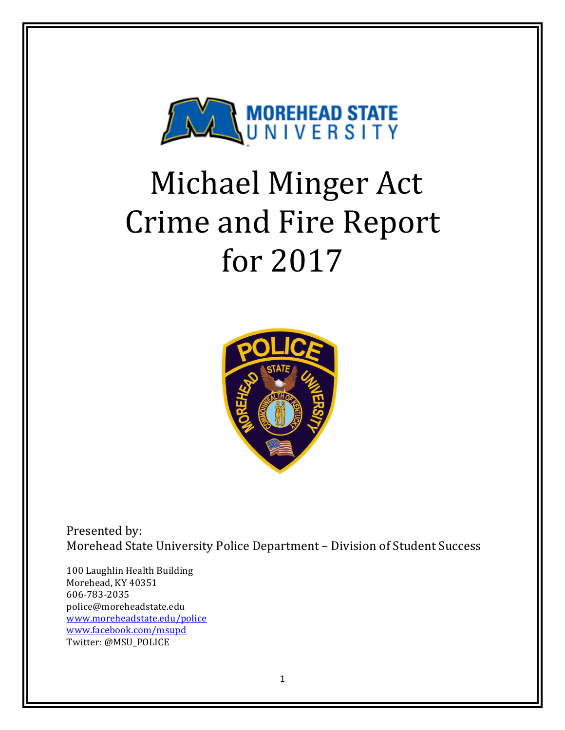

# Michael Minger Act **Crime and Fire Report** for 2017



Presented by: Morehead State University Police Department - Division of Student Success

100 Laughlin Health Building Morehead, KY 40351 606-783-2035 police@moreheadstate.edu www.moreheadstate.edu/police www.facebook.com/msupd Twitter: @MSU\_POLICE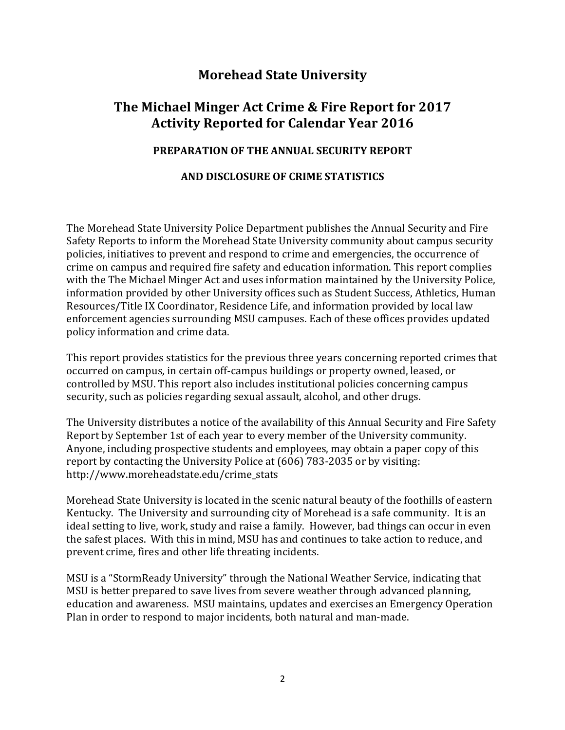## **Morehead State University**

## **The Michael Minger Act Crime & Fire Report for 2017 Activity Reported for Calendar Year 2016**

#### **PREPARATION OF THE ANNUAL SECURITY REPORT**

#### **AND DISCLOSURE OF CRIME STATISTICS**

The Morehead State University Police Department publishes the Annual Security and Fire Safety Reports to inform the Morehead State University community about campus security policies, initiatives to prevent and respond to crime and emergencies, the occurrence of crime on campus and required fire safety and education information. This report complies with the The Michael Minger Act and uses information maintained by the University Police, information provided by other University offices such as Student Success, Athletics, Human Resources/Title IX Coordinator, Residence Life, and information provided by local law enforcement agencies surrounding MSU campuses. Each of these offices provides updated policy information and crime data.

This report provides statistics for the previous three years concerning reported crimes that occurred on campus, in certain off-campus buildings or property owned, leased, or controlled by MSU. This report also includes institutional policies concerning campus security, such as policies regarding sexual assault, alcohol, and other drugs.

The University distributes a notice of the availability of this Annual Security and Fire Safety Report by September 1st of each year to every member of the University community. Anyone, including prospective students and employees, may obtain a paper copy of this report by contacting the University Police at (606) 783-2035 or by visiting: http://www.moreheadstate.edu/crime\_stats 

Morehead State University is located in the scenic natural beauty of the foothills of eastern Kentucky. The University and surrounding city of Morehead is a safe community. It is an ideal setting to live, work, study and raise a family. However, bad things can occur in even the safest places. With this in mind, MSU has and continues to take action to reduce, and prevent crime, fires and other life threating incidents.

MSU is a "StormReady University" through the National Weather Service, indicating that MSU is better prepared to save lives from severe weather through advanced planning, education and awareness. MSU maintains, updates and exercises an Emergency Operation Plan in order to respond to major incidents, both natural and man-made.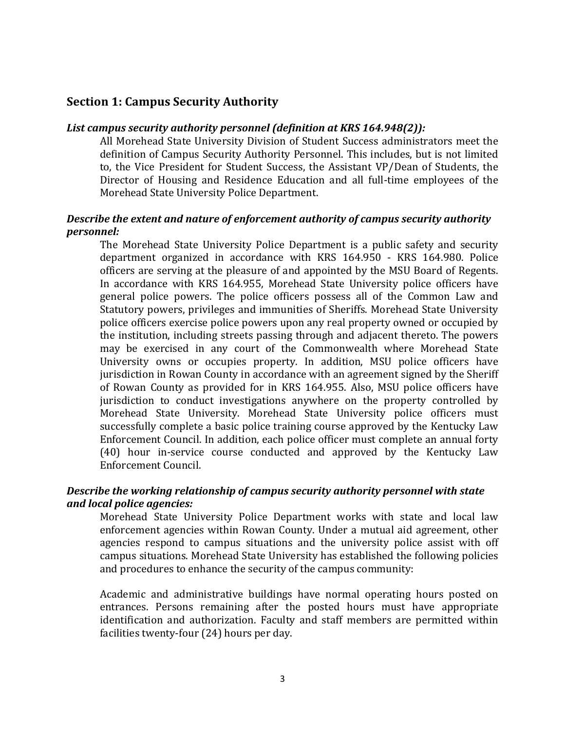#### **Section 1: Campus Security Authority**

#### List campus security authority personnel (definition at KRS 164.948(2)):

All Morehead State University Division of Student Success administrators meet the definition of Campus Security Authority Personnel. This includes, but is not limited to, the Vice President for Student Success, the Assistant VP/Dean of Students, the Director of Housing and Residence Education and all full-time employees of the Morehead State University Police Department.

#### *Describe the extent and nature of enforcement authority of campus security authority personnel:*

The Morehead State University Police Department is a public safety and security department organized in accordance with KRS 164.950 - KRS 164.980. Police officers are serving at the pleasure of and appointed by the MSU Board of Regents. In accordance with KRS 164.955, Morehead State University police officers have general police powers. The police officers possess all of the Common Law and Statutory powers, privileges and immunities of Sheriffs. Morehead State University police officers exercise police powers upon any real property owned or occupied by the institution, including streets passing through and adjacent thereto. The powers may be exercised in any court of the Commonwealth where Morehead State University owns or occupies property. In addition, MSU police officers have jurisdiction in Rowan County in accordance with an agreement signed by the Sheriff of Rowan County as provided for in KRS 164.955. Also, MSU police officers have jurisdiction to conduct investigations anywhere on the property controlled by Morehead State University. Morehead State University police officers must successfully complete a basic police training course approved by the Kentucky Law Enforcement Council. In addition, each police officer must complete an annual forty (40) hour in-service course conducted and approved by the Kentucky Law Enforcement Council.

#### **Describe the working relationship of campus security authority personnel with state** *and local police agencies:*

Morehead State University Police Department works with state and local law enforcement agencies within Rowan County. Under a mutual aid agreement, other agencies respond to campus situations and the university police assist with off campus situations. Morehead State University has established the following policies and procedures to enhance the security of the campus community:

Academic and administrative buildings have normal operating hours posted on entrances. Persons remaining after the posted hours must have appropriate identification and authorization. Faculty and staff members are permitted within facilities twenty-four (24) hours per day.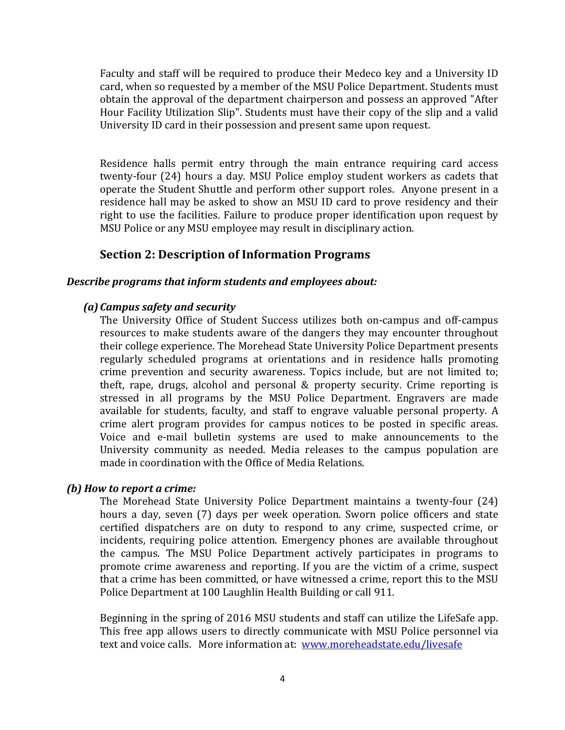Faculty and staff will be required to produce their Medeco key and a University ID card, when so requested by a member of the MSU Police Department. Students must obtain the approval of the department chairperson and possess an approved "After Hour Facility Utilization Slip". Students must have their copy of the slip and a valid University ID card in their possession and present same upon request.

Residence halls permit entry through the main entrance requiring card access twenty-four (24) hours a day. MSU Police employ student workers as cadets that operate the Student Shuttle and perform other support roles. Anyone present in a residence hall may be asked to show an MSU ID card to prove residency and their right to use the facilities. Failure to produce proper identification upon request by MSU Police or any MSU employee may result in disciplinary action.

#### **Section 2: Description of Information Programs**

#### **Describe programs that inform students and employees about:**

#### *(a) Campus safety and security*

The University Office of Student Success utilizes both on-campus and off-campus resources to make students aware of the dangers they may encounter throughout their college experience. The Morehead State University Police Department presents regularly scheduled programs at orientations and in residence halls promoting crime prevention and security awareness. Topics include, but are not limited to; theft, rape, drugs, alcohol and personal  $&$  property security. Crime reporting is stressed in all programs by the MSU Police Department. Engravers are made available for students, faculty, and staff to engrave valuable personal property. A crime alert program provides for campus notices to be posted in specific areas. Voice and e-mail bulletin systems are used to make announcements to the University community as needed. Media releases to the campus population are made in coordination with the Office of Media Relations.

#### *(b) How to report a crime:*

The Morehead State University Police Department maintains a twenty-four (24) hours a day, seven (7) days per week operation. Sworn police officers and state certified dispatchers are on duty to respond to any crime, suspected crime, or incidents, requiring police attention. Emergency phones are available throughout the campus. The MSU Police Department actively participates in programs to promote crime awareness and reporting. If you are the victim of a crime, suspect that a crime has been committed, or have witnessed a crime, report this to the MSU Police Department at 100 Laughlin Health Building or call 911.

Beginning in the spring of 2016 MSU students and staff can utilize the LifeSafe app. This free app allows users to directly communicate with MSU Police personnel via text and voice calls. More information at: www.moreheadstate.edu/livesafe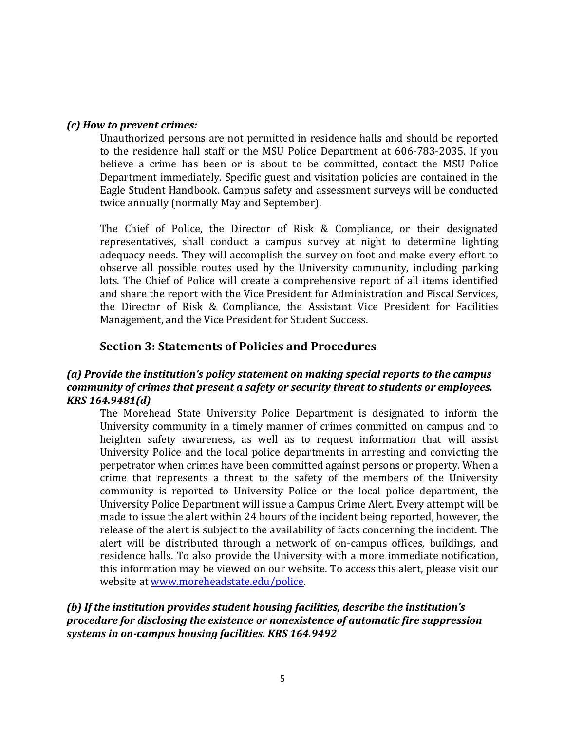#### *(c) How to prevent crimes:*

Unauthorized persons are not permitted in residence halls and should be reported to the residence hall staff or the MSU Police Department at 606-783-2035. If you believe a crime has been or is about to be committed, contact the MSU Police Department immediately. Specific guest and visitation policies are contained in the Eagle Student Handbook. Campus safety and assessment surveys will be conducted twice annually (normally May and September).

The Chief of Police, the Director of Risk & Compliance, or their designated representatives, shall conduct a campus survey at night to determine lighting adequacy needs. They will accomplish the survey on foot and make every effort to observe all possible routes used by the University community, including parking lots. The Chief of Police will create a comprehensive report of all items identified and share the report with the Vice President for Administration and Fiscal Services, the Director of Risk & Compliance, the Assistant Vice President for Facilities Management, and the Vice President for Student Success.

#### **Section 3: Statements of Policies and Procedures**

#### (a) Provide the institution's policy statement on making special reports to the campus *community of crimes that present a safety or security threat to students or employees. KRS 164.9481(d)*

The Morehead State University Police Department is designated to inform the University community in a timely manner of crimes committed on campus and to heighten safety awareness, as well as to request information that will assist University Police and the local police departments in arresting and convicting the perpetrator when crimes have been committed against persons or property. When a crime that represents a threat to the safety of the members of the University community is reported to University Police or the local police department, the University Police Department will issue a Campus Crime Alert. Every attempt will be made to issue the alert within 24 hours of the incident being reported, however, the release of the alert is subject to the availability of facts concerning the incident. The alert will be distributed through a network of on-campus offices, buildings, and residence halls. To also provide the University with a more immediate notification, this information may be viewed on our website. To access this alert, please visit our website at www.moreheadstate.edu/police.

#### (b) If the institution provides student housing facilities, describe the institution's *procedure for disclosing the existence or nonexistence of automatic fire suppression* systems in on-campus housing facilities. KRS 164.9492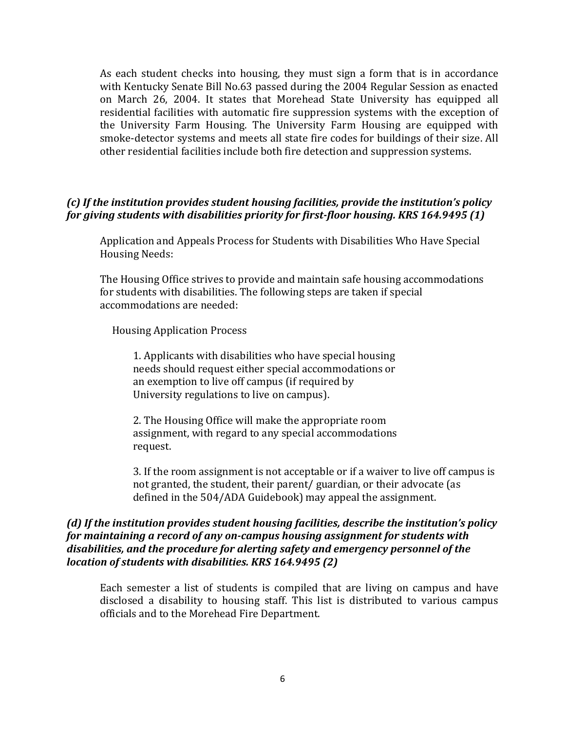As each student checks into housing, they must sign a form that is in accordance with Kentucky Senate Bill No.63 passed during the 2004 Regular Session as enacted on March 26, 2004. It states that Morehead State University has equipped all residential facilities with automatic fire suppression systems with the exception of the University Farm Housing. The University Farm Housing are equipped with smoke-detector systems and meets all state fire codes for buildings of their size. All other residential facilities include both fire detection and suppression systems.

#### (c) If the institution provides student housing facilities, provide the institution's policy *for giving students with disabilities priority for first-floor housing. KRS 164.9495 (1)*

Application and Appeals Process for Students with Disabilities Who Have Special Housing Needs:

The Housing Office strives to provide and maintain safe housing accommodations for students with disabilities. The following steps are taken if special accommodations are needed:

 Housing Application Process

1. Applicants with disabilities who have special housing needs should request either special accommodations or an exemption to live off campus (if required by University regulations to live on campus).

2. The Housing Office will make the appropriate room assignment, with regard to any special accommodations request.

3. If the room assignment is not acceptable or if a waiver to live off campus is not granted, the student, their parent/ guardian, or their advocate (as defined in the 504/ADA Guidebook) may appeal the assignment.

#### *(d)* If the institution provides student housing facilities, describe the institution's policy for maintaining a record of any on-campus housing assignment for students with disabilities, and the procedure for alerting safety and emergency personnel of the *location of students with disabilities. KRS 164.9495 (2)*

Each semester a list of students is compiled that are living on campus and have disclosed a disability to housing staff. This list is distributed to various campus officials and to the Morehead Fire Department.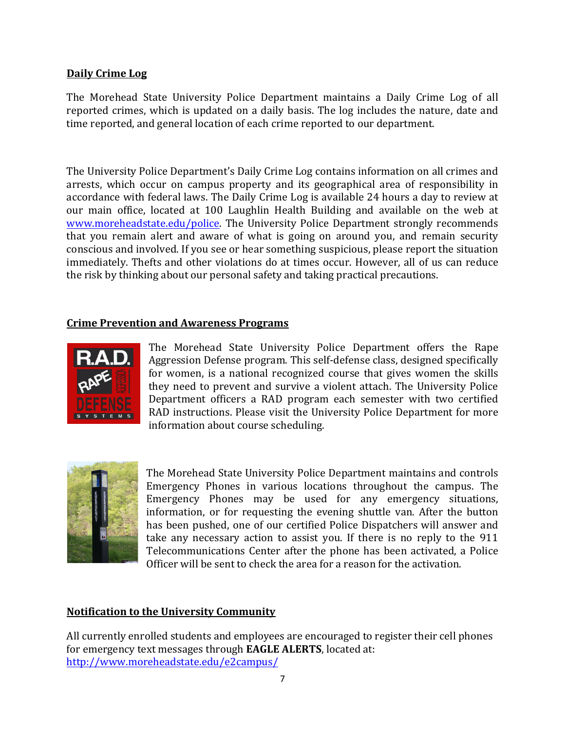#### **Daily Crime Log**

The Morehead State University Police Department maintains a Daily Crime Log of all reported crimes, which is updated on a daily basis. The log includes the nature, date and time reported, and general location of each crime reported to our department.

The University Police Department's Daily Crime Log contains information on all crimes and arrests, which occur on campus property and its geographical area of responsibility in accordance with federal laws. The Daily Crime Log is available 24 hours a day to review at our main office, located at 100 Laughlin Health Building and available on the web at www.moreheadstate.edu/police. The University Police Department strongly recommends that you remain alert and aware of what is going on around you, and remain security conscious and involved. If you see or hear something suspicious, please report the situation immediately. Thefts and other violations do at times occur. However, all of us can reduce the risk by thinking about our personal safety and taking practical precautions.

#### **Crime Prevention and Awareness Programs**



The Morehead State University Police Department offers the Rape Aggression Defense program. This self-defense class, designed specifically for women, is a national recognized course that gives women the skills they need to prevent and survive a violent attach. The University Police Department officers a RAD program each semester with two certified RAD instructions. Please visit the University Police Department for more information about course scheduling.



The Morehead State University Police Department maintains and controls Emergency Phones in various locations throughout the campus. The Emergency Phones may be used for any emergency situations, information, or for requesting the evening shuttle van. After the button has been pushed, one of our certified Police Dispatchers will answer and take any necessary action to assist you. If there is no reply to the 911 Telecommunications Center after the phone has been activated, a Police Officer will be sent to check the area for a reason for the activation.

#### **Notification to the University Community**

All currently enrolled students and employees are encouraged to register their cell phones for emergency text messages through **EAGLE ALERTS**, located at: http://www.moreheadstate.edu/e2campus/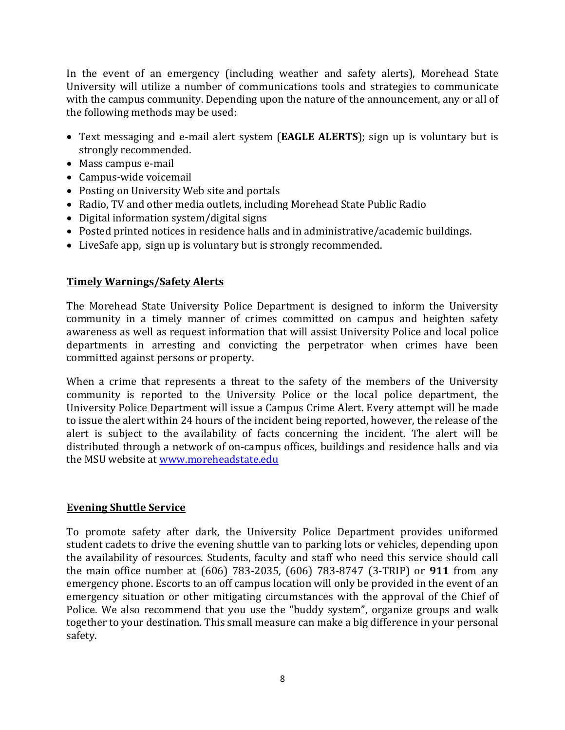In the event of an emergency (including weather and safety alerts), Morehead State University will utilize a number of communications tools and strategies to communicate with the campus community. Depending upon the nature of the announcement, any or all of the following methods may be used:

- Text messaging and e-mail alert system (**EAGLE ALERTS**); sign up is voluntary but is strongly recommended.
- Mass campus e-mail
- Campus-wide voicemail
- Posting on University Web site and portals
- Radio. TV and other media outlets, including Morehead State Public Radio
- Digital information system/digital signs
- Posted printed notices in residence halls and in administrative/academic buildings.
- LiveSafe app, sign up is voluntary but is strongly recommended.

#### **Timely Warnings/Safety Alerts**

The Morehead State University Police Department is designed to inform the University community in a timely manner of crimes committed on campus and heighten safety awareness as well as request information that will assist University Police and local police departments in arresting and convicting the perpetrator when crimes have been committed against persons or property.

When a crime that represents a threat to the safety of the members of the University community is reported to the University Police or the local police department, the University Police Department will issue a Campus Crime Alert. Every attempt will be made to issue the alert within 24 hours of the incident being reported, however, the release of the alert is subject to the availability of facts concerning the incident. The alert will be distributed through a network of on-campus offices, buildings and residence halls and via the MSU website at www.moreheadstate.edu

#### **Evening Shuttle Service**

To promote safety after dark, the University Police Department provides uniformed student cadets to drive the evening shuttle van to parking lots or vehicles, depending upon the availability of resources. Students, faculty and staff who need this service should call the main office number at (606) 783-2035, (606) 783-8747 (3-TRIP) or **911** from any emergency phone. Escorts to an off campus location will only be provided in the event of an emergency situation or other mitigating circumstances with the approval of the Chief of Police. We also recommend that you use the "buddy system", organize groups and walk together to your destination. This small measure can make a big difference in your personal safety.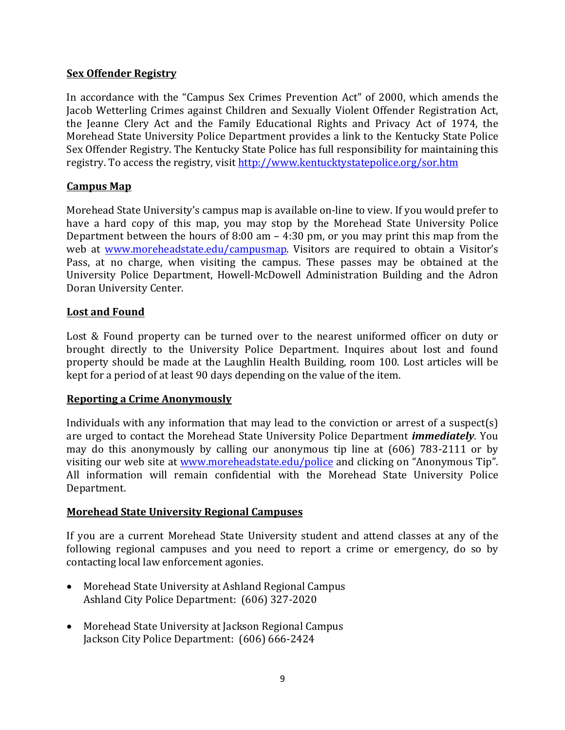#### **Sex Offender Registry**

In accordance with the "Campus Sex Crimes Prevention Act" of 2000, which amends the Jacob Wetterling Crimes against Children and Sexually Violent Offender Registration Act, the Jeanne Clery Act and the Family Educational Rights and Privacy Act of 1974, the Morehead State University Police Department provides a link to the Kentucky State Police Sex Offender Registry. The Kentucky State Police has full responsibility for maintaining this registry. To access the registry, visit http://www.kentucktystatepolice.org/sor.htm

#### **Campus Map**

Morehead State University's campus map is available on-line to view. If you would prefer to have a hard copy of this map, you may stop by the Morehead State University Police Department between the hours of 8:00 am  $-$  4:30 pm, or you may print this map from the web at www.moreheadstate.edu/campusmap. Visitors are required to obtain a Visitor's Pass, at no charge, when visiting the campus. These passes may be obtained at the University Police Department, Howell-McDowell Administration Building and the Adron Doran University Center.

#### Lost and Found

Lost & Found property can be turned over to the nearest uniformed officer on duty or brought directly to the University Police Department. Inquires about lost and found property should be made at the Laughlin Health Building, room 100. Lost articles will be kept for a period of at least 90 days depending on the value of the item.

#### **Reporting a Crime Anonymously**

Individuals with any information that may lead to the conviction or arrest of a suspect(s) are urged to contact the Morehead State University Police Department *immediately*. You may do this anonymously by calling our anonymous tip line at  $(606)$  783-2111 or by visiting our web site at www.moreheadstate.edu/police and clicking on "Anonymous Tip". All information will remain confidential with the Morehead State University Police Department. 

#### **Morehead State University Regional Campuses**

If you are a current Morehead State University student and attend classes at any of the following regional campuses and you need to report a crime or emergency, do so by contacting local law enforcement agonies.

- Morehead State University at Ashland Regional Campus Ashland City Police Department: (606) 327-2020
- Morehead State University at Jackson Regional Campus Jackson City Police Department: (606) 666-2424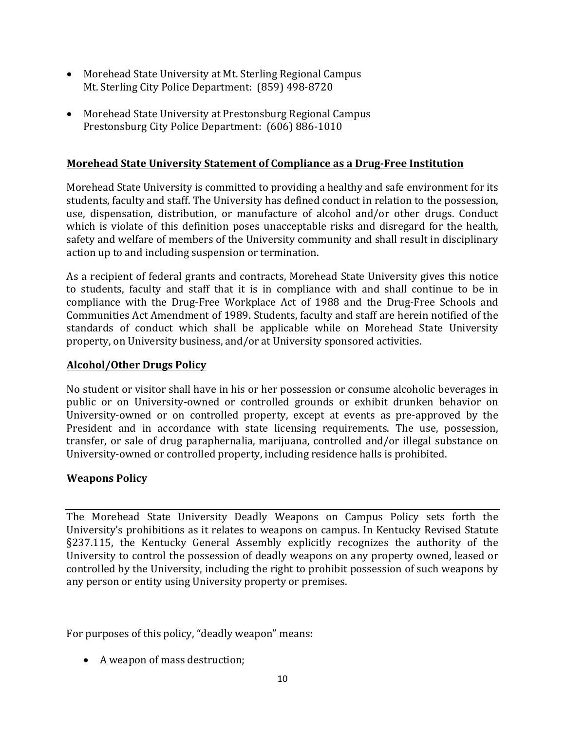- Morehead State University at Mt. Sterling Regional Campus Mt. Sterling City Police Department: (859) 498-8720
- Morehead State University at Prestonsburg Regional Campus Prestonsburg City Police Department: (606) 886-1010

#### **Morehead State University Statement of Compliance as a Drug-Free Institution**

Morehead State University is committed to providing a healthy and safe environment for its students, faculty and staff. The University has defined conduct in relation to the possession, use, dispensation, distribution, or manufacture of alcohol and/or other drugs. Conduct which is violate of this definition poses unacceptable risks and disregard for the health, safety and welfare of members of the University community and shall result in disciplinary action up to and including suspension or termination.

As a recipient of federal grants and contracts, Morehead State University gives this notice to students, faculty and staff that it is in compliance with and shall continue to be in compliance with the Drug-Free Workplace Act of 1988 and the Drug-Free Schools and Communities Act Amendment of 1989. Students, faculty and staff are herein notified of the standards of conduct which shall be applicable while on Morehead State University property, on University business, and/or at University sponsored activities.

#### **Alcohol/Other Drugs Policy**

No student or visitor shall have in his or her possession or consume alcoholic beverages in public or on University-owned or controlled grounds or exhibit drunken behavior on University-owned or on controlled property, except at events as pre-approved by the President and in accordance with state licensing requirements. The use, possession, transfer, or sale of drug paraphernalia, marijuana, controlled and/or illegal substance on University-owned or controlled property, including residence halls is prohibited.

#### **Weapons Policy**

The Morehead State University Deadly Weapons on Campus Policy sets forth the University's prohibitions as it relates to weapons on campus. In Kentucky Revised Statute §237.115, the Kentucky General Assembly explicitly recognizes the authority of the University to control the possession of deadly weapons on any property owned, leased or controlled by the University, including the right to prohibit possession of such weapons by any person or entity using University property or premises.

For purposes of this policy, "deadly weapon" means:

• A weapon of mass destruction;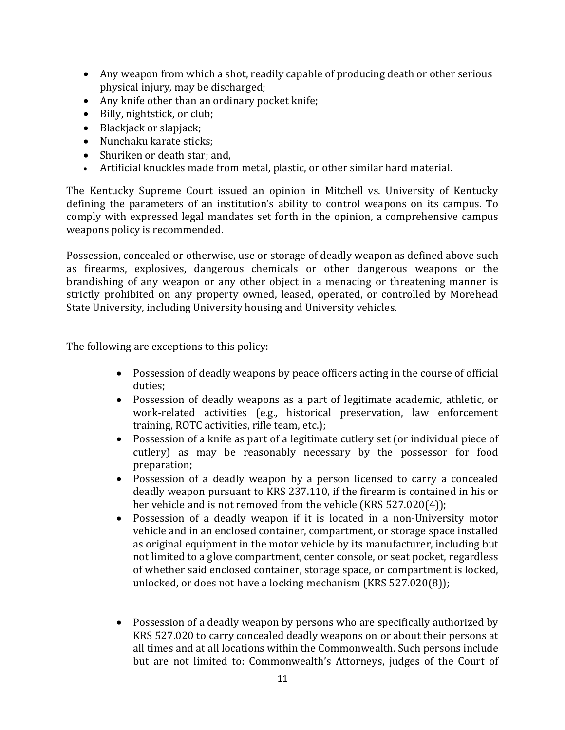- Any weapon from which a shot, readily capable of producing death or other serious physical injury, may be discharged;
- Any knife other than an ordinary pocket knife;
- Billy, nightstick, or club;
- $\bullet$  Blackjack or slapjack;
- Nunchaku karate sticks;
- Shuriken or death star; and,
- Artificial knuckles made from metal, plastic, or other similar hard material.

The Kentucky Supreme Court issued an opinion in Mitchell vs. University of Kentucky defining the parameters of an institution's ability to control weapons on its campus. To comply with expressed legal mandates set forth in the opinion, a comprehensive campus weapons policy is recommended.

Possession, concealed or otherwise, use or storage of deadly weapon as defined above such as firearms, explosives, dangerous chemicals or other dangerous weapons or the brandishing of any weapon or any other object in a menacing or threatening manner is strictly prohibited on any property owned, leased, operated, or controlled by Morehead State University, including University housing and University vehicles.

The following are exceptions to this policy:

- Possession of deadly weapons by peace officers acting in the course of official duties;
- Possession of deadly weapons as a part of legitimate academic, athletic, or work-related activities (e.g., historical preservation, law enforcement training, ROTC activities, rifle team, etc.);
- Possession of a knife as part of a legitimate cutlery set (or individual piece of cutlery) as may be reasonably necessary by the possessor for food preparation;
- Possession of a deadly weapon by a person licensed to carry a concealed deadly weapon pursuant to KRS 237.110, if the firearm is contained in his or her vehicle and is not removed from the vehicle  $(KRS 527.020(4))$ ;
- Possession of a deadly weapon if it is located in a non-University motor vehicle and in an enclosed container, compartment, or storage space installed as original equipment in the motor vehicle by its manufacturer, including but not limited to a glove compartment, center console, or seat pocket, regardless of whether said enclosed container, storage space, or compartment is locked, unlocked, or does not have a locking mechanism (KRS 527.020(8));
- Possession of a deadly weapon by persons who are specifically authorized by KRS 527.020 to carry concealed deadly weapons on or about their persons at all times and at all locations within the Commonwealth. Such persons include but are not limited to: Commonwealth's Attorneys, judges of the Court of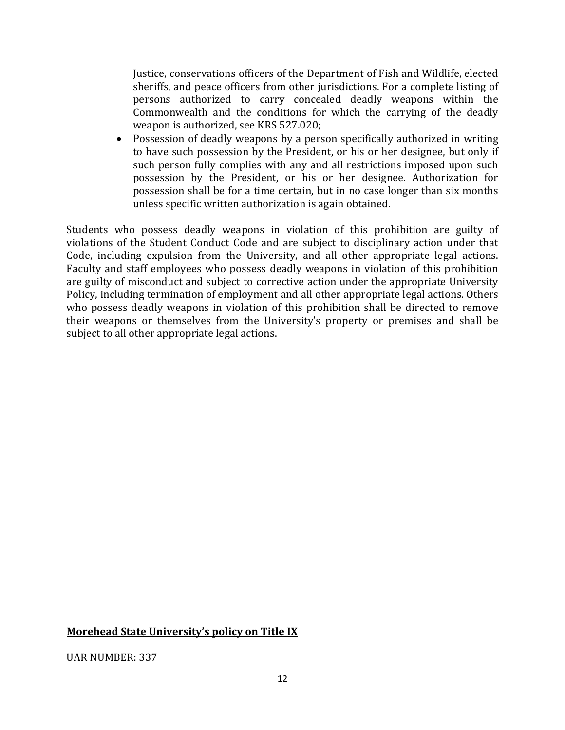Justice, conservations officers of the Department of Fish and Wildlife, elected sheriffs, and peace officers from other jurisdictions. For a complete listing of persons authorized to carry concealed deadly weapons within the Commonwealth and the conditions for which the carrying of the deadly weapon is authorized, see KRS 527.020;

• Possession of deadly weapons by a person specifically authorized in writing to have such possession by the President, or his or her designee, but only if such person fully complies with any and all restrictions imposed upon such possession by the President, or his or her designee. Authorization for possession shall be for a time certain, but in no case longer than six months unless specific written authorization is again obtained.

Students who possess deadly weapons in violation of this prohibition are guilty of violations of the Student Conduct Code and are subject to disciplinary action under that Code, including expulsion from the University, and all other appropriate legal actions. Faculty and staff employees who possess deadly weapons in violation of this prohibition are guilty of misconduct and subject to corrective action under the appropriate University Policy, including termination of employment and all other appropriate legal actions. Others who possess deadly weapons in violation of this prohibition shall be directed to remove their weapons or themselves from the University's property or premises and shall be subject to all other appropriate legal actions.

#### **Morehead State University's policy on Title IX**

UAR NUMBER: 337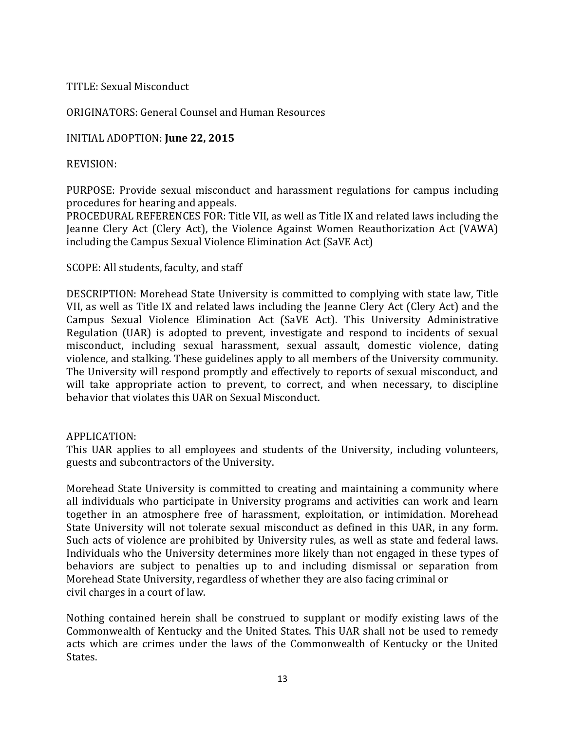#### TITLE: Sexual Misconduct

#### ORIGINATORS: General Counsel and Human Resources

#### INITIAL ADOPTION: June 22, 2015

#### REVISION:

PURPOSE: Provide sexual misconduct and harassment regulations for campus including procedures for hearing and appeals.

PROCEDURAL REFERENCES FOR: Title VII, as well as Title IX and related laws including the Jeanne Clery Act (Clery Act), the Violence Against Women Reauthorization Act (VAWA) including the Campus Sexual Violence Elimination Act (SaVE Act)

#### SCOPE: All students, faculty, and staff

DESCRIPTION: Morehead State University is committed to complying with state law, Title VII, as well as Title IX and related laws including the Jeanne Clery Act (Clery Act) and the Campus Sexual Violence Elimination Act (SaVE Act). This University Administrative Regulation (UAR) is adopted to prevent, investigate and respond to incidents of sexual misconduct, including sexual harassment, sexual assault, domestic violence, dating violence, and stalking. These guidelines apply to all members of the University community. The University will respond promptly and effectively to reports of sexual misconduct, and will take appropriate action to prevent, to correct, and when necessary, to discipline behavior that violates this UAR on Sexual Misconduct.

#### APPLICATION:

This UAR applies to all employees and students of the University, including volunteers, guests and subcontractors of the University.

Morehead State University is committed to creating and maintaining a community where all individuals who participate in University programs and activities can work and learn together in an atmosphere free of harassment, exploitation, or intimidation. Morehead State University will not tolerate sexual misconduct as defined in this UAR, in any form. Such acts of violence are prohibited by University rules, as well as state and federal laws. Individuals who the University determines more likely than not engaged in these types of behaviors are subject to penalties up to and including dismissal or separation from Morehead State University, regardless of whether they are also facing criminal or civil charges in a court of law.

Nothing contained herein shall be construed to supplant or modify existing laws of the Commonwealth of Kentucky and the United States. This UAR shall not be used to remedy acts which are crimes under the laws of the Commonwealth of Kentucky or the United States.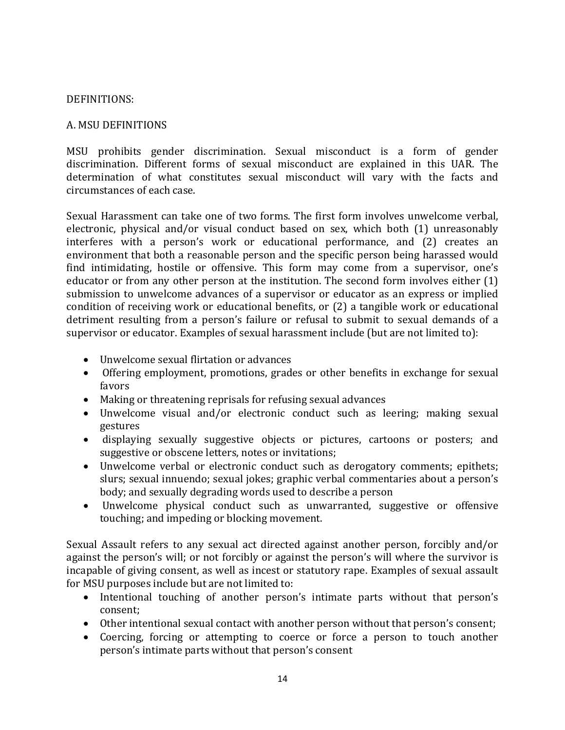#### DEFINITIONS:

#### A. MSU DEFINITIONS

MSU prohibits gender discrimination. Sexual misconduct is a form of gender discrimination. Different forms of sexual misconduct are explained in this UAR. The determination of what constitutes sexual misconduct will vary with the facts and circumstances of each case.

Sexual Harassment can take one of two forms. The first form involves unwelcome verbal, electronic, physical and/or visual conduct based on sex, which both (1) unreasonably interferes with a person's work or educational performance, and (2) creates an environment that both a reasonable person and the specific person being harassed would find intimidating, hostile or offensive. This form may come from a supervisor, one's educator or from any other person at the institution. The second form involves either  $(1)$ submission to unwelcome advances of a supervisor or educator as an express or implied condition of receiving work or educational benefits, or  $(2)$  a tangible work or educational detriment resulting from a person's failure or refusal to submit to sexual demands of a supervisor or educator. Examples of sexual harassment include (but are not limited to):

- Unwelcome sexual flirtation or advances
- Offering employment, promotions, grades or other benefits in exchange for sexual favors
- Making or threatening reprisals for refusing sexual advances
- Unwelcome visual and/or electronic conduct such as leering; making sexual gestures
- displaying sexually suggestive objects or pictures, cartoons or posters; and suggestive or obscene letters, notes or invitations;
- Unwelcome verbal or electronic conduct such as derogatory comments; epithets; slurs; sexual innuendo; sexual jokes; graphic verbal commentaries about a person's body; and sexually degrading words used to describe a person
- Unwelcome physical conduct such as unwarranted, suggestive or offensive touching; and impeding or blocking movement.

Sexual Assault refers to any sexual act directed against another person, forcibly and/or against the person's will; or not forcibly or against the person's will where the survivor is incapable of giving consent, as well as incest or statutory rape. Examples of sexual assault for MSU purposes include but are not limited to:

- Intentional touching of another person's intimate parts without that person's consent;
- Other intentional sexual contact with another person without that person's consent;
- Coercing, forcing or attempting to coerce or force a person to touch another person's intimate parts without that person's consent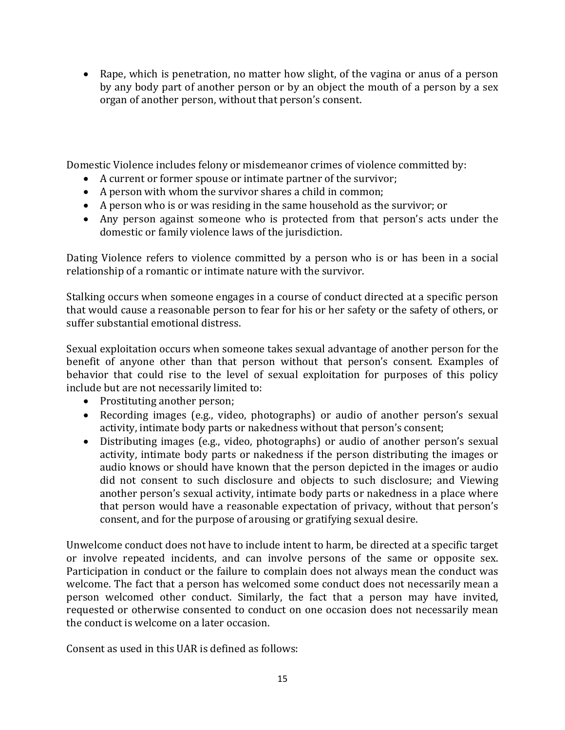• Rape, which is penetration, no matter how slight, of the vagina or anus of a person by any body part of another person or by an object the mouth of a person by a sex organ of another person, without that person's consent.

Domestic Violence includes felony or misdemeanor crimes of violence committed by:

- A current or former spouse or intimate partner of the survivor;
- A person with whom the survivor shares a child in common;
- A person who is or was residing in the same household as the survivor; or
- Any person against someone who is protected from that person's acts under the domestic or family violence laws of the jurisdiction.

Dating Violence refers to violence committed by a person who is or has been in a social relationship of a romantic or intimate nature with the survivor.

Stalking occurs when someone engages in a course of conduct directed at a specific person that would cause a reasonable person to fear for his or her safety or the safety of others, or suffer substantial emotional distress.

Sexual exploitation occurs when someone takes sexual advantage of another person for the benefit of anyone other than that person without that person's consent. Examples of behavior that could rise to the level of sexual exploitation for purposes of this policy include but are not necessarily limited to:

- Prostituting another person;
- Recording images (e.g., video, photographs) or audio of another person's sexual activity, intimate body parts or nakedness without that person's consent;
- Distributing images (e.g., video, photographs) or audio of another person's sexual activity, intimate body parts or nakedness if the person distributing the images or audio knows or should have known that the person depicted in the images or audio did not consent to such disclosure and objects to such disclosure; and Viewing another person's sexual activity, intimate body parts or nakedness in a place where that person would have a reasonable expectation of privacy, without that person's consent, and for the purpose of arousing or gratifying sexual desire.

Unwelcome conduct does not have to include intent to harm, be directed at a specific target or involve repeated incidents, and can involve persons of the same or opposite sex. Participation in conduct or the failure to complain does not always mean the conduct was welcome. The fact that a person has welcomed some conduct does not necessarily mean a person welcomed other conduct. Similarly, the fact that a person may have invited, requested or otherwise consented to conduct on one occasion does not necessarily mean the conduct is welcome on a later occasion.

Consent as used in this UAR is defined as follows: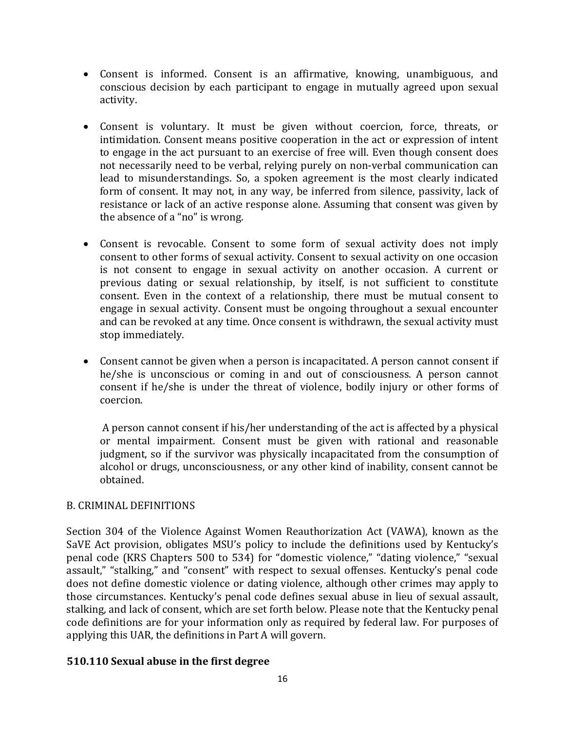- Consent is informed. Consent is an affirmative, knowing, unambiguous, and conscious decision by each participant to engage in mutually agreed upon sexual activity.
- Consent is voluntary. It must be given without coercion, force, threats, or intimidation. Consent means positive cooperation in the act or expression of intent to engage in the act pursuant to an exercise of free will. Even though consent does not necessarily need to be verbal, relying purely on non-verbal communication can lead to misunderstandings. So, a spoken agreement is the most clearly indicated form of consent. It may not, in any way, be inferred from silence, passivity, lack of resistance or lack of an active response alone. Assuming that consent was given by the absence of a "no" is wrong.
- Consent is revocable. Consent to some form of sexual activity does not imply consent to other forms of sexual activity. Consent to sexual activity on one occasion is not consent to engage in sexual activity on another occasion. A current or previous dating or sexual relationship, by itself, is not sufficient to constitute consent. Even in the context of a relationship, there must be mutual consent to engage in sexual activity. Consent must be ongoing throughout a sexual encounter and can be revoked at any time. Once consent is withdrawn, the sexual activity must stop immediately.
- Consent cannot be given when a person is incapacitated. A person cannot consent if he/she is unconscious or coming in and out of consciousness. A person cannot consent if he/she is under the threat of violence, bodily injury or other forms of coercion.

A person cannot consent if his/her understanding of the act is affected by a physical or mental impairment. Consent must be given with rational and reasonable judgment, so if the survivor was physically incapacitated from the consumption of alcohol or drugs, unconsciousness, or any other kind of inability, consent cannot be obtained.

#### B. CRIMINAL DEFINITIONS

Section 304 of the Violence Against Women Reauthorization Act (VAWA), known as the SaVE Act provision, obligates MSU's policy to include the definitions used by Kentucky's penal code (KRS Chapters 500 to 534) for "domestic violence," "dating violence," "sexual assault," "stalking," and "consent" with respect to sexual offenses. Kentucky's penal code does not define domestic violence or dating violence, although other crimes may apply to those circumstances. Kentucky's penal code defines sexual abuse in lieu of sexual assault, stalking, and lack of consent, which are set forth below. Please note that the Kentucky penal code definitions are for your information only as required by federal law. For purposes of applying this UAR, the definitions in Part A will govern.

#### **510.110 Sexual abuse in the first degree**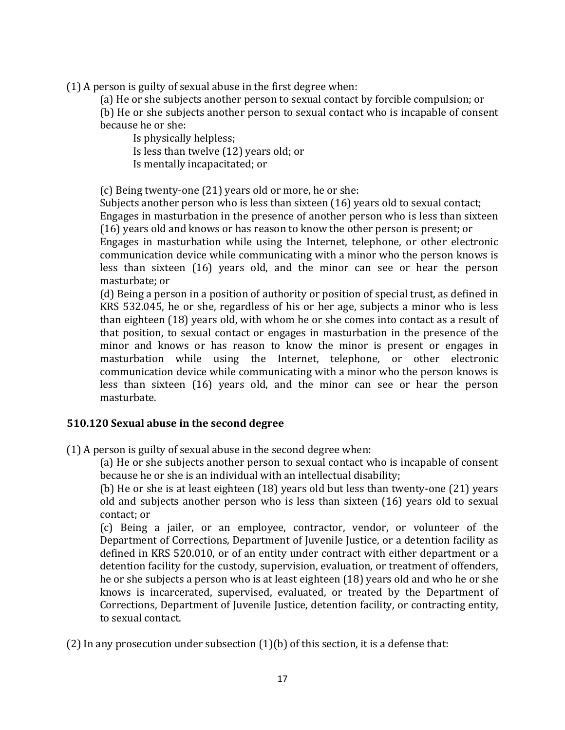$(1)$  A person is guilty of sexual abuse in the first degree when:

(a) He or she subjects another person to sexual contact by forcible compulsion; or (b) He or she subjects another person to sexual contact who is incapable of consent

because he or she: Is physically helpless; Is less than twelve (12) years old; or Is mentally incapacitated; or

(c) Being twenty-one  $(21)$  years old or more, he or she:

Subjects another person who is less than sixteen  $(16)$  years old to sexual contact; Engages in masturbation in the presence of another person who is less than sixteen (16) years old and knows or has reason to know the other person is present; or Engages in masturbation while using the Internet, telephone, or other electronic communication device while communicating with a minor who the person knows is less than sixteen (16) years old, and the minor can see or hear the person masturbate; or

(d) Being a person in a position of authority or position of special trust, as defined in KRS 532.045, he or she, regardless of his or her age, subjects a minor who is less than eighteen (18) years old, with whom he or she comes into contact as a result of that position, to sexual contact or engages in masturbation in the presence of the minor and knows or has reason to know the minor is present or engages in masturbation while using the Internet, telephone, or other electronic communication device while communicating with a minor who the person knows is less than sixteen (16) years old, and the minor can see or hear the person masturbate.

#### **510.120 Sexual abuse in the second degree**

 $(1)$  A person is guilty of sexual abuse in the second degree when:

(a) He or she subjects another person to sexual contact who is incapable of consent because he or she is an individual with an intellectual disability;

(b) He or she is at least eighteen  $(18)$  years old but less than twenty-one  $(21)$  years old and subjects another person who is less than sixteen (16) years old to sexual contact: or

(c) Being a jailer, or an employee, contractor, vendor, or volunteer of the Department of Corrections, Department of Juvenile Justice, or a detention facility as defined in KRS 520.010, or of an entity under contract with either department or a detention facility for the custody, supervision, evaluation, or treatment of offenders, he or she subjects a person who is at least eighteen (18) years old and who he or she knows is incarcerated, supervised, evaluated, or treated by the Department of Corrections, Department of Juvenile Justice, detention facility, or contracting entity, to sexual contact.

(2) In any prosecution under subsection  $(1)(b)$  of this section, it is a defense that: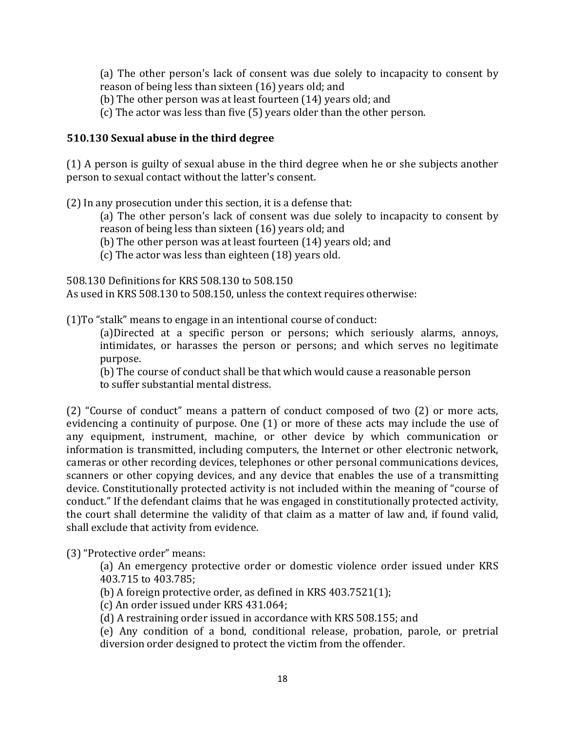(a) The other person's lack of consent was due solely to incapacity to consent by reason of being less than sixteen (16) years old; and

(b) The other person was at least fourteen  $(14)$  years old; and

(c) The actor was less than five  $(5)$  years older than the other person.

#### **510.130 Sexual abuse in the third degree**

 $(1)$  A person is guilty of sexual abuse in the third degree when he or she subjects another person to sexual contact without the latter's consent.

 $(2)$  In any prosecution under this section, it is a defense that:

(a) The other person's lack of consent was due solely to incapacity to consent by reason of being less than sixteen (16) years old; and

(b) The other person was at least fourteen  $(14)$  years old; and

 $(c)$  The actor was less than eighteen  $(18)$  years old.

508.130 Definitions for KRS 508.130 to 508.150 As used in KRS 508.130 to 508.150, unless the context requires otherwise:

 $(1)$ To "stalk" means to engage in an intentional course of conduct:

(a)Directed at a specific person or persons; which seriously alarms, annoys, intimidates, or harasses the person or persons; and which serves no legitimate purpose.

(b) The course of conduct shall be that which would cause a reasonable person to suffer substantial mental distress.

(2) "Course of conduct" means a pattern of conduct composed of two  $(2)$  or more acts, evidencing a continuity of purpose. One  $(1)$  or more of these acts may include the use of any equipment, instrument, machine, or other device by which communication or information is transmitted, including computers, the Internet or other electronic network, cameras or other recording devices, telephones or other personal communications devices, scanners or other copying devices, and any device that enables the use of a transmitting device. Constitutionally protected activity is not included within the meaning of "course of conduct." If the defendant claims that he was engaged in constitutionally protected activity, the court shall determine the validity of that claim as a matter of law and, if found valid, shall exclude that activity from evidence.

(3) "Protective order" means:

(a) An emergency protective order or domestic violence order issued under KRS 403.715 to 403.785;

(b) A foreign protective order, as defined in KRS  $403.7521(1)$ ;

(c) An order issued under KRS 431.064;

(d) A restraining order issued in accordance with KRS 508.155; and

(e) Any condition of a bond, conditional release, probation, parole, or pretrial diversion order designed to protect the victim from the offender.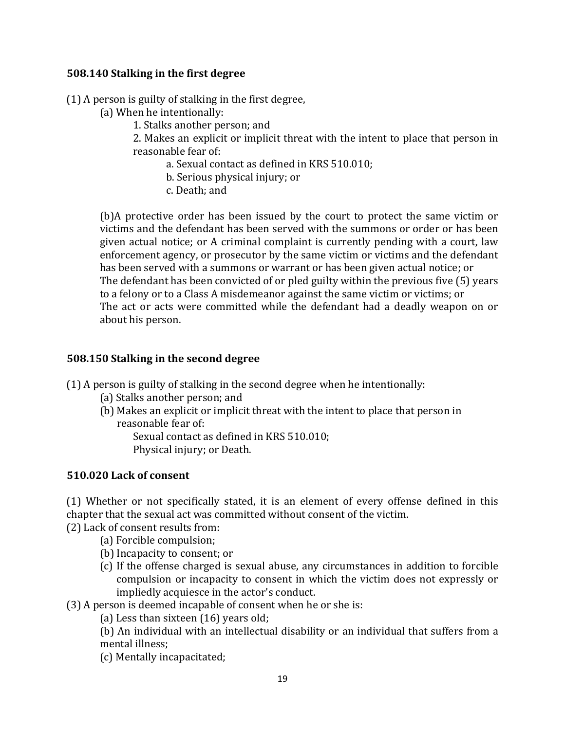#### **508.140 Stalking in the first degree**

 $(1)$  A person is guilty of stalking in the first degree,

- (a) When he intentionally:
	- 1. Stalks another person; and

2. Makes an explicit or implicit threat with the intent to place that person in reasonable fear of:

a. Sexual contact as defined in KRS 510.010;

b. Serious physical injury; or

c. Death; and

(b)A protective order has been issued by the court to protect the same victim or victims and the defendant has been served with the summons or order or has been given actual notice; or A criminal complaint is currently pending with a court, law enforcement agency, or prosecutor by the same victim or victims and the defendant has been served with a summons or warrant or has been given actual notice; or The defendant has been convicted of or pled guilty within the previous five (5) years to a felony or to a Class A misdemeanor against the same victim or victims; or The act or acts were committed while the defendant had a deadly weapon on or about his person.

#### **508.150 Stalking in the second degree**

(1) A person is guilty of stalking in the second degree when he intentionally:

- (a) Stalks another person; and
- (b) Makes an explicit or implicit threat with the intent to place that person in reasonable fear of:

Sexual contact as defined in KRS 510.010; Physical injury; or Death.

#### **510.020 Lack of consent**

(1) Whether or not specifically stated, it is an element of every offense defined in this chapter that the sexual act was committed without consent of the victim.

(2) Lack of consent results from:

- (a) Forcible compulsion;
- (b) Incapacity to consent; or
- (c) If the offense charged is sexual abuse, any circumstances in addition to forcible compulsion or incapacity to consent in which the victim does not expressly or impliedly acquiesce in the actor's conduct.
- (3) A person is deemed incapable of consent when he or she is:
	- (a) Less than sixteen  $(16)$  years old;

(b) An individual with an intellectual disability or an individual that suffers from a mental illness;

(c) Mentally incapacitated;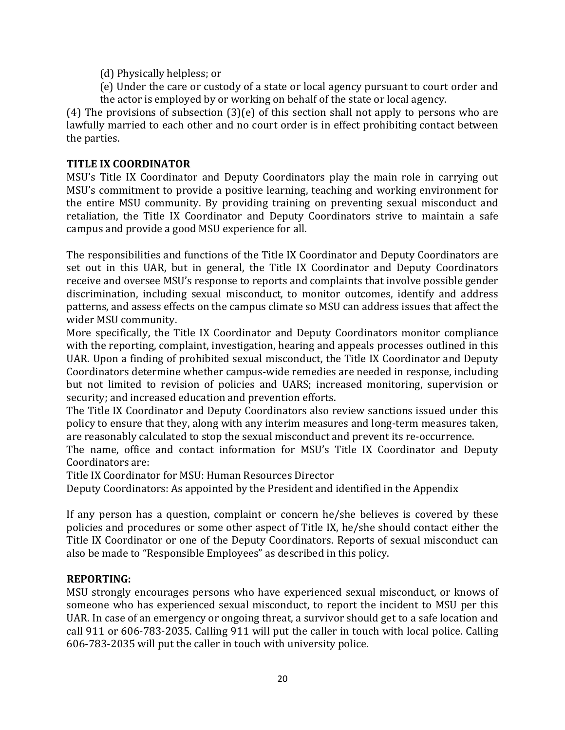- (d) Physically helpless; or
- (e) Under the care or custody of a state or local agency pursuant to court order and the actor is employed by or working on behalf of the state or local agency.

(4) The provisions of subsection  $(3)(e)$  of this section shall not apply to persons who are lawfully married to each other and no court order is in effect prohibiting contact between the parties.

#### **TITLE IX COORDINATOR**

MSU's Title IX Coordinator and Deputy Coordinators play the main role in carrying out MSU's commitment to provide a positive learning, teaching and working environment for the entire MSU community. By providing training on preventing sexual misconduct and retaliation, the Title IX Coordinator and Deputy Coordinators strive to maintain a safe campus and provide a good MSU experience for all.

The responsibilities and functions of the Title IX Coordinator and Deputy Coordinators are set out in this UAR, but in general, the Title IX Coordinator and Deputy Coordinators receive and oversee MSU's response to reports and complaints that involve possible gender discrimination, including sexual misconduct, to monitor outcomes, identify and address patterns, and assess effects on the campus climate so MSU can address issues that affect the wider MSU community.

More specifically, the Title IX Coordinator and Deputy Coordinators monitor compliance with the reporting, complaint, investigation, hearing and appeals processes outlined in this UAR. Upon a finding of prohibited sexual misconduct, the Title IX Coordinator and Deputy Coordinators determine whether campus-wide remedies are needed in response, including but not limited to revision of policies and UARS; increased monitoring, supervision or security; and increased education and prevention efforts.

The Title IX Coordinator and Deputy Coordinators also review sanctions issued under this policy to ensure that they, along with any interim measures and long-term measures taken, are reasonably calculated to stop the sexual misconduct and prevent its re-occurrence.

The name, office and contact information for MSU's Title IX Coordinator and Deputy Coordinators are:

Title IX Coordinator for MSU: Human Resources Director

Deputy Coordinators: As appointed by the President and identified in the Appendix

If any person has a question, complaint or concern  $he/she$  believes is covered by these policies and procedures or some other aspect of Title IX, he/she should contact either the Title IX Coordinator or one of the Deputy Coordinators. Reports of sexual misconduct can also be made to "Responsible Employees" as described in this policy.

#### **REPORTING:**

MSU strongly encourages persons who have experienced sexual misconduct, or knows of someone who has experienced sexual misconduct, to report the incident to MSU per this UAR. In case of an emergency or ongoing threat, a survivor should get to a safe location and call 911 or 606-783-2035. Calling 911 will put the caller in touch with local police. Calling 606-783-2035 will put the caller in touch with university police.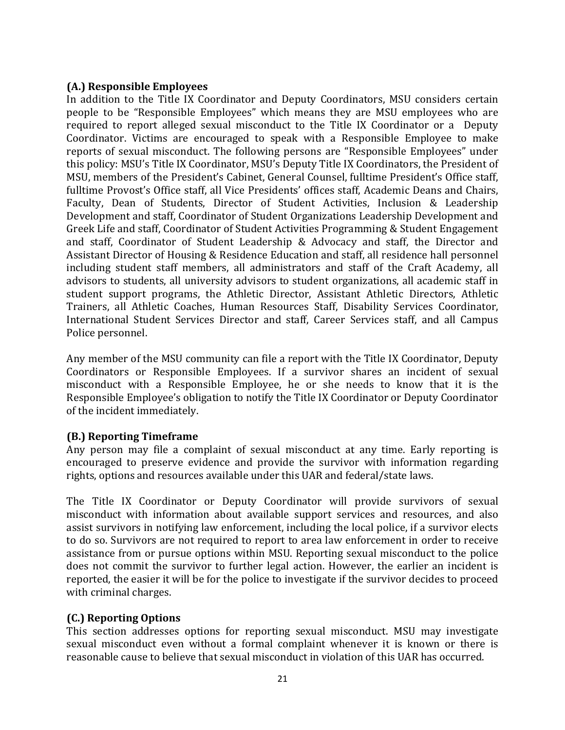#### **(A.) Responsible Employees**

In addition to the Title IX Coordinator and Deputy Coordinators, MSU considers certain people to be "Responsible Employees" which means they are MSU employees who are required to report alleged sexual misconduct to the Title IX Coordinator or a Deputy Coordinator. Victims are encouraged to speak with a Responsible Employee to make reports of sexual misconduct. The following persons are "Responsible Employees" under this policy: MSU's Title IX Coordinator, MSU's Deputy Title IX Coordinators, the President of MSU, members of the President's Cabinet, General Counsel, fulltime President's Office staff, fulltime Provost's Office staff, all Vice Presidents' offices staff, Academic Deans and Chairs, Faculty, Dean of Students, Director of Student Activities, Inclusion & Leadership Development and staff, Coordinator of Student Organizations Leadership Development and Greek Life and staff, Coordinator of Student Activities Programming & Student Engagement and staff, Coordinator of Student Leadership & Advocacy and staff, the Director and Assistant Director of Housing & Residence Education and staff, all residence hall personnel including student staff members, all administrators and staff of the Craft Academy, all advisors to students, all university advisors to student organizations, all academic staff in student support programs, the Athletic Director, Assistant Athletic Directors, Athletic Trainers, all Athletic Coaches, Human Resources Staff, Disability Services Coordinator, International Student Services Director and staff, Career Services staff, and all Campus Police personnel.

Any member of the MSU community can file a report with the Title IX Coordinator, Deputy Coordinators or Responsible Employees. If a survivor shares an incident of sexual misconduct with a Responsible Employee, he or she needs to know that it is the Responsible Employee's obligation to notify the Title IX Coordinator or Deputy Coordinator of the incident immediately.

#### **(B.) Reporting Timeframe**

Any person may file a complaint of sexual misconduct at any time. Early reporting is encouraged to preserve evidence and provide the survivor with information regarding rights, options and resources available under this UAR and federal/state laws.

The Title IX Coordinator or Deputy Coordinator will provide survivors of sexual misconduct with information about available support services and resources, and also assist survivors in notifying law enforcement, including the local police, if a survivor elects to do so. Survivors are not required to report to area law enforcement in order to receive assistance from or pursue options within MSU. Reporting sexual misconduct to the police does not commit the survivor to further legal action. However, the earlier an incident is reported, the easier it will be for the police to investigate if the survivor decides to proceed with criminal charges.

#### **(C.) Reporting Options**

This section addresses options for reporting sexual misconduct. MSU may investigate sexual misconduct even without a formal complaint whenever it is known or there is reasonable cause to believe that sexual misconduct in violation of this UAR has occurred.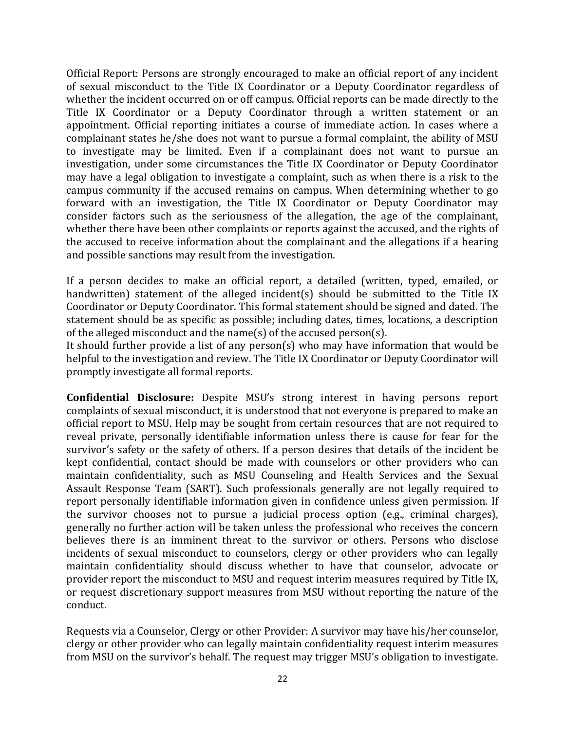Official Report: Persons are strongly encouraged to make an official report of any incident of sexual misconduct to the Title IX Coordinator or a Deputy Coordinator regardless of whether the incident occurred on or off campus. Official reports can be made directly to the Title IX Coordinator or a Deputy Coordinator through a written statement or an appointment. Official reporting initiates a course of immediate action. In cases where a complainant states he/she does not want to pursue a formal complaint, the ability of MSU to investigate may be limited. Even if a complainant does not want to pursue an investigation, under some circumstances the Title IX Coordinator or Deputy Coordinator may have a legal obligation to investigate a complaint, such as when there is a risk to the campus community if the accused remains on campus. When determining whether to go forward with an investigation, the Title IX Coordinator or Deputy Coordinator may consider factors such as the seriousness of the allegation, the age of the complainant, whether there have been other complaints or reports against the accused, and the rights of the accused to receive information about the complainant and the allegations if a hearing and possible sanctions may result from the investigation.

If a person decides to make an official report, a detailed (written, typed, emailed, or handwritten) statement of the alleged incident(s) should be submitted to the Title IX Coordinator or Deputy Coordinator. This formal statement should be signed and dated. The statement should be as specific as possible; including dates, times, locations, a description of the alleged misconduct and the name(s) of the accused person(s).

It should further provide a list of any person(s) who may have information that would be helpful to the investigation and review. The Title IX Coordinator or Deputy Coordinator will promptly investigate all formal reports.

**Confidential Disclosure:** Despite MSU's strong interest in having persons report complaints of sexual misconduct, it is understood that not everyone is prepared to make an official report to MSU. Help may be sought from certain resources that are not required to reveal private, personally identifiable information unless there is cause for fear for the survivor's safety or the safety of others. If a person desires that details of the incident be kept confidential, contact should be made with counselors or other providers who can maintain confidentiality, such as MSU Counseling and Health Services and the Sexual Assault Response Team (SART). Such professionals generally are not legally required to report personally identifiable information given in confidence unless given permission. If the survivor chooses not to pursue a judicial process option  $(e.g.,$  criminal charges), generally no further action will be taken unless the professional who receives the concern believes there is an imminent threat to the survivor or others. Persons who disclose incidents of sexual misconduct to counselors, clergy or other providers who can legally maintain confidentiality should discuss whether to have that counselor, advocate or provider report the misconduct to MSU and request interim measures required by Title IX, or request discretionary support measures from MSU without reporting the nature of the conduct. 

Requests via a Counselor, Clergy or other Provider: A survivor may have his/her counselor, clergy or other provider who can legally maintain confidentiality request interim measures from MSU on the survivor's behalf. The request may trigger MSU's obligation to investigate.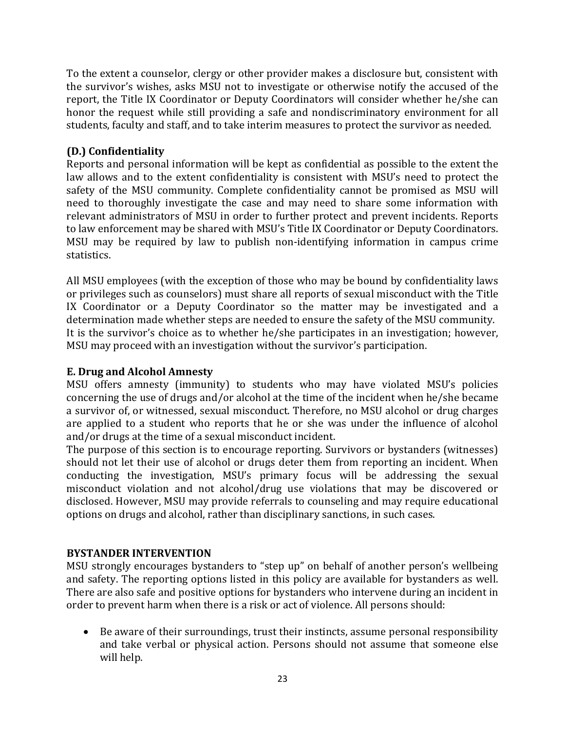To the extent a counselor, clergy or other provider makes a disclosure but, consistent with the survivor's wishes, asks MSU not to investigate or otherwise notify the accused of the report, the Title IX Coordinator or Deputy Coordinators will consider whether he/she can honor the request while still providing a safe and nondiscriminatory environment for all students, faculty and staff, and to take interim measures to protect the survivor as needed.

#### **(D.) Confidentiality**

Reports and personal information will be kept as confidential as possible to the extent the law allows and to the extent confidentiality is consistent with MSU's need to protect the safety of the MSU community. Complete confidentiality cannot be promised as MSU will need to thoroughly investigate the case and may need to share some information with relevant administrators of MSU in order to further protect and prevent incidents. Reports to law enforcement may be shared with MSU's Title IX Coordinator or Deputy Coordinators. MSU may be required by law to publish non-identifying information in campus crime statistics. 

All MSU employees (with the exception of those who may be bound by confidentiality laws or privileges such as counselors) must share all reports of sexual misconduct with the Title IX Coordinator or a Deputy Coordinator so the matter may be investigated and a determination made whether steps are needed to ensure the safety of the MSU community. It is the survivor's choice as to whether he/she participates in an investigation; however, MSU may proceed with an investigation without the survivor's participation.

#### **E. Drug and Alcohol Amnesty**

MSU offers amnesty (immunity) to students who may have violated MSU's policies concerning the use of drugs and/or alcohol at the time of the incident when he/she became a survivor of, or witnessed, sexual misconduct. Therefore, no MSU alcohol or drug charges are applied to a student who reports that he or she was under the influence of alcohol and/or drugs at the time of a sexual misconduct incident.

The purpose of this section is to encourage reporting. Survivors or bystanders (witnesses) should not let their use of alcohol or drugs deter them from reporting an incident. When conducting the investigation, MSU's primary focus will be addressing the sexual misconduct violation and not alcohol/drug use violations that may be discovered or disclosed. However, MSU may provide referrals to counseling and may require educational options on drugs and alcohol, rather than disciplinary sanctions, in such cases.

#### **BYSTANDER INTERVENTION**

MSU strongly encourages bystanders to "step up" on behalf of another person's wellbeing and safety. The reporting options listed in this policy are available for bystanders as well. There are also safe and positive options for bystanders who intervene during an incident in order to prevent harm when there is a risk or act of violence. All persons should:

• Be aware of their surroundings, trust their instincts, assume personal responsibility and take verbal or physical action. Persons should not assume that someone else will help.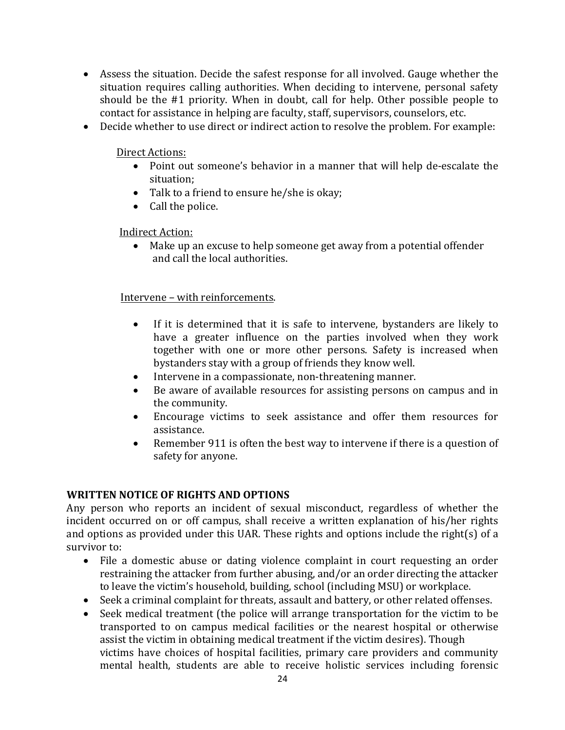- Assess the situation. Decide the safest response for all involved. Gauge whether the situation requires calling authorities. When deciding to intervene, personal safety should be the  $#1$  priority. When in doubt, call for help. Other possible people to contact for assistance in helping are faculty, staff, supervisors, counselors, etc.
- Decide whether to use direct or indirect action to resolve the problem. For example:

#### Direct Actions:

- Point out someone's behavior in a manner that will help de-escalate the situation;
- Talk to a friend to ensure he/she is okay;
- Call the police.

#### **Indirect Action:**

• Make up an excuse to help someone get away from a potential offender and call the local authorities.

#### Intervene - with reinforcements.

- If it is determined that it is safe to intervene, bystanders are likely to have a greater influence on the parties involved when they work together with one or more other persons. Safety is increased when bystanders stay with a group of friends they know well.
- Intervene in a compassionate, non-threatening manner.
- Be aware of available resources for assisting persons on campus and in the community.
- Encourage victims to seek assistance and offer them resources for assistance.
- Remember 911 is often the best way to intervene if there is a question of safety for anyone.

#### **WRITTEN NOTICE OF RIGHTS AND OPTIONS**

Any person who reports an incident of sexual misconduct, regardless of whether the incident occurred on or off campus, shall receive a written explanation of his/her rights and options as provided under this UAR. These rights and options include the right(s) of a survivor to:

- File a domestic abuse or dating violence complaint in court requesting an order restraining the attacker from further abusing, and/or an order directing the attacker to leave the victim's household, building, school (including MSU) or workplace.
- Seek a criminal complaint for threats, assault and battery, or other related offenses.
- Seek medical treatment (the police will arrange transportation for the victim to be transported to on campus medical facilities or the nearest hospital or otherwise assist the victim in obtaining medical treatment if the victim desires). Though victims have choices of hospital facilities, primary care providers and community mental health, students are able to receive holistic services including forensic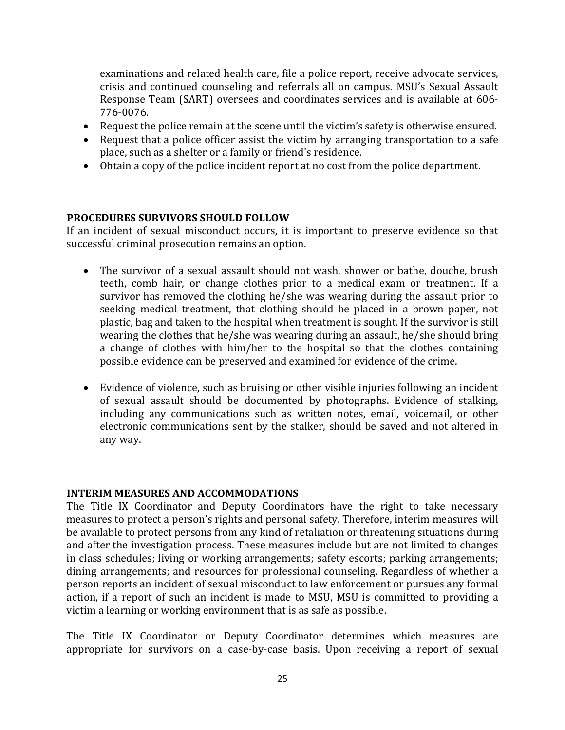examinations and related health care, file a police report, receive advocate services, crisis and continued counseling and referrals all on campus. MSU's Sexual Assault Response Team (SART) oversees and coordinates services and is available at 606-776-0076.

- Request the police remain at the scene until the victim's safety is otherwise ensured.
- Request that a police officer assist the victim by arranging transportation to a safe place, such as a shelter or a family or friend's residence.
- Obtain a copy of the police incident report at no cost from the police department.

#### **PROCEDURES SURVIVORS SHOULD FOLLOW**

If an incident of sexual misconduct occurs, it is important to preserve evidence so that successful criminal prosecution remains an option.

- The survivor of a sexual assault should not wash, shower or bathe, douche, brush teeth, comb hair, or change clothes prior to a medical exam or treatment. If a survivor has removed the clothing he/she was wearing during the assault prior to seeking medical treatment, that clothing should be placed in a brown paper, not plastic, bag and taken to the hospital when treatment is sought. If the survivor is still wearing the clothes that he/she was wearing during an assault, he/she should bring a change of clothes with him/her to the hospital so that the clothes containing possible evidence can be preserved and examined for evidence of the crime.
- Evidence of violence, such as bruising or other visible injuries following an incident of sexual assault should be documented by photographs. Evidence of stalking, including any communications such as written notes, email, voicemail, or other electronic communications sent by the stalker, should be saved and not altered in any way.

#### **INTERIM MEASURES AND ACCOMMODATIONS**

The Title IX Coordinator and Deputy Coordinators have the right to take necessary measures to protect a person's rights and personal safety. Therefore, interim measures will be available to protect persons from any kind of retaliation or threatening situations during and after the investigation process. These measures include but are not limited to changes in class schedules; living or working arrangements; safety escorts; parking arrangements; dining arrangements; and resources for professional counseling. Regardless of whether a person reports an incident of sexual misconduct to law enforcement or pursues any formal action, if a report of such an incident is made to MSU, MSU is committed to providing a victim a learning or working environment that is as safe as possible.

The Title IX Coordinator or Deputy Coordinator determines which measures are appropriate for survivors on a case-by-case basis. Upon receiving a report of sexual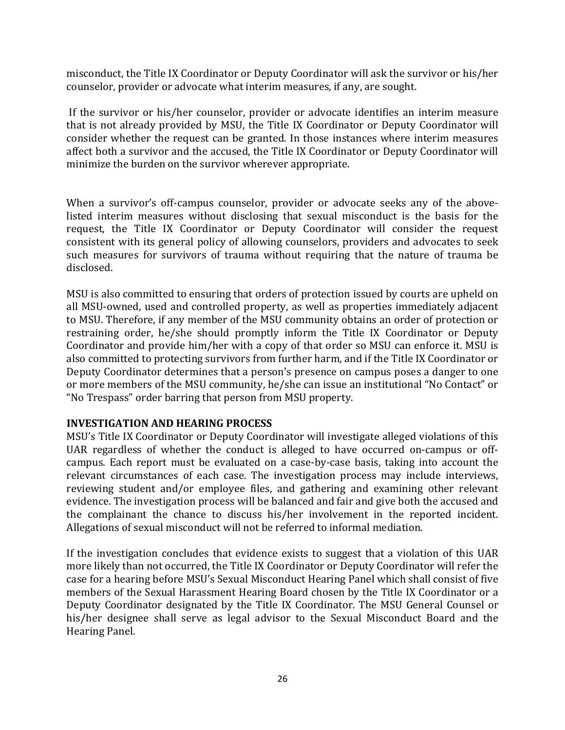misconduct, the Title IX Coordinator or Deputy Coordinator will ask the survivor or his/her counselor, provider or advocate what interim measures, if any, are sought.

If the survivor or his/her counselor, provider or advocate identifies an interim measure that is not already provided by MSU, the Title IX Coordinator or Deputy Coordinator will consider whether the request can be granted. In those instances where interim measures affect both a survivor and the accused, the Title IX Coordinator or Deputy Coordinator will minimize the burden on the survivor wherever appropriate.

When a survivor's off-campus counselor, provider or advocate seeks any of the abovelisted interim measures without disclosing that sexual misconduct is the basis for the request, the Title IX Coordinator or Deputy Coordinator will consider the request consistent with its general policy of allowing counselors, providers and advocates to seek such measures for survivors of trauma without requiring that the nature of trauma be disclosed. 

MSU is also committed to ensuring that orders of protection issued by courts are upheld on all MSU-owned, used and controlled property, as well as properties immediately adjacent to MSU. Therefore, if any member of the MSU community obtains an order of protection or restraining order, he/she should promptly inform the Title IX Coordinator or Deputy Coordinator and provide him/her with a copy of that order so MSU can enforce it. MSU is also committed to protecting survivors from further harm, and if the Title IX Coordinator or Deputy Coordinator determines that a person's presence on campus poses a danger to one or more members of the MSU community, he/she can issue an institutional "No Contact" or "No Trespass" order barring that person from MSU property.

#### **INVESTIGATION AND HEARING PROCESS**

MSU's Title IX Coordinator or Deputy Coordinator will investigate alleged violations of this UAR regardless of whether the conduct is alleged to have occurred on-campus or offcampus. Each report must be evaluated on a case-by-case basis, taking into account the relevant circumstances of each case. The investigation process may include interviews, reviewing student and/or employee files, and gathering and examining other relevant evidence. The investigation process will be balanced and fair and give both the accused and the complainant the chance to discuss his/her involvement in the reported incident. Allegations of sexual misconduct will not be referred to informal mediation.

If the investigation concludes that evidence exists to suggest that a violation of this UAR more likely than not occurred, the Title IX Coordinator or Deputy Coordinator will refer the case for a hearing before MSU's Sexual Misconduct Hearing Panel which shall consist of five members of the Sexual Harassment Hearing Board chosen by the Title IX Coordinator or a Deputy Coordinator designated by the Title IX Coordinator. The MSU General Counsel or his/her designee shall serve as legal advisor to the Sexual Misconduct Board and the Hearing Panel.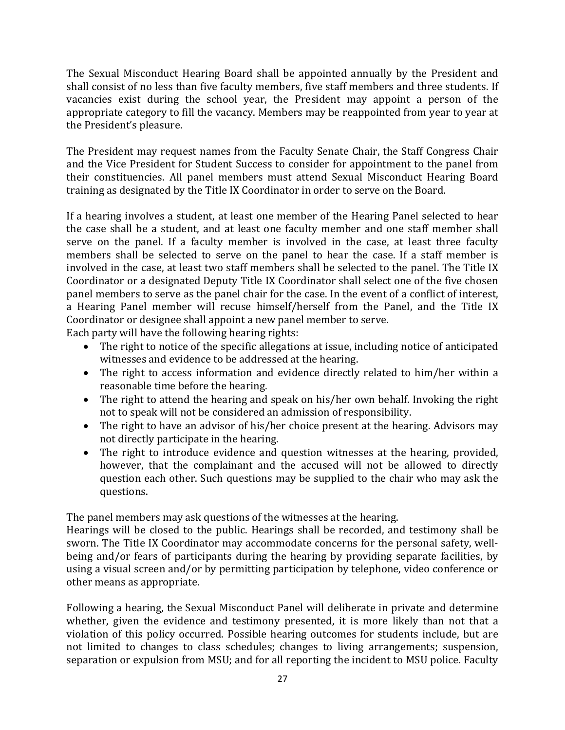The Sexual Misconduct Hearing Board shall be appointed annually by the President and shall consist of no less than five faculty members, five staff members and three students. If vacancies exist during the school year, the President may appoint a person of the appropriate category to fill the vacancy. Members may be reappointed from year to year at the President's pleasure.

The President may request names from the Faculty Senate Chair, the Staff Congress Chair and the Vice President for Student Success to consider for appointment to the panel from their constituencies. All panel members must attend Sexual Misconduct Hearing Board training as designated by the Title IX Coordinator in order to serve on the Board.

If a hearing involves a student, at least one member of the Hearing Panel selected to hear the case shall be a student, and at least one faculty member and one staff member shall serve on the panel. If a faculty member is involved in the case, at least three faculty members shall be selected to serve on the panel to hear the case. If a staff member is involved in the case, at least two staff members shall be selected to the panel. The Title IX Coordinator or a designated Deputy Title IX Coordinator shall select one of the five chosen panel members to serve as the panel chair for the case. In the event of a conflict of interest, a Hearing Panel member will recuse himself/herself from the Panel, and the Title IX Coordinator or designee shall appoint a new panel member to serve.

Each party will have the following hearing rights:

- The right to notice of the specific allegations at issue, including notice of anticipated witnesses and evidence to be addressed at the hearing.
- The right to access information and evidence directly related to him/her within a reasonable time before the hearing.
- The right to attend the hearing and speak on his/her own behalf. Invoking the right not to speak will not be considered an admission of responsibility.
- The right to have an advisor of his/her choice present at the hearing. Advisors may not directly participate in the hearing.
- The right to introduce evidence and question witnesses at the hearing, provided, however, that the complainant and the accused will not be allowed to directly question each other. Such questions may be supplied to the chair who may ask the questions.

The panel members may ask questions of the witnesses at the hearing.

Hearings will be closed to the public. Hearings shall be recorded, and testimony shall be sworn. The Title IX Coordinator may accommodate concerns for the personal safety, wellbeing and/or fears of participants during the hearing by providing separate facilities, by using a visual screen and/or by permitting participation by telephone, video conference or other means as appropriate.

Following a hearing, the Sexual Misconduct Panel will deliberate in private and determine whether, given the evidence and testimony presented, it is more likely than not that a violation of this policy occurred. Possible hearing outcomes for students include, but are not limited to changes to class schedules; changes to living arrangements; suspension, separation or expulsion from MSU; and for all reporting the incident to MSU police. Faculty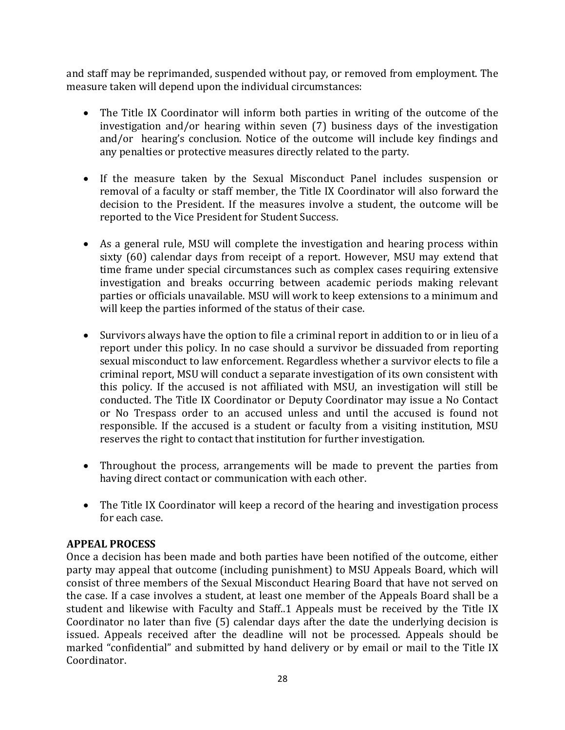and staff may be reprimanded, suspended without pay, or removed from employment. The measure taken will depend upon the individual circumstances:

- The Title IX Coordinator will inform both parties in writing of the outcome of the investigation and/or hearing within seven  $(7)$  business days of the investigation and/or hearing's conclusion. Notice of the outcome will include key findings and any penalties or protective measures directly related to the party.
- If the measure taken by the Sexual Misconduct Panel includes suspension or removal of a faculty or staff member, the Title IX Coordinator will also forward the decision to the President. If the measures involve a student, the outcome will be reported to the Vice President for Student Success.
- As a general rule, MSU will complete the investigation and hearing process within sixty (60) calendar days from receipt of a report. However, MSU may extend that time frame under special circumstances such as complex cases requiring extensive investigation and breaks occurring between academic periods making relevant parties or officials unavailable. MSU will work to keep extensions to a minimum and will keep the parties informed of the status of their case.
- Survivors always have the option to file a criminal report in addition to or in lieu of a report under this policy. In no case should a survivor be dissuaded from reporting sexual misconduct to law enforcement. Regardless whether a survivor elects to file a criminal report, MSU will conduct a separate investigation of its own consistent with this policy. If the accused is not affiliated with MSU, an investigation will still be conducted. The Title IX Coordinator or Deputy Coordinator may issue a No Contact or No Trespass order to an accused unless and until the accused is found not responsible. If the accused is a student or faculty from a visiting institution, MSU reserves the right to contact that institution for further investigation.
- Throughout the process, arrangements will be made to prevent the parties from having direct contact or communication with each other.
- The Title IX Coordinator will keep a record of the hearing and investigation process for each case.

#### **APPEAL PROCESS**

Once a decision has been made and both parties have been notified of the outcome, either party may appeal that outcome (including punishment) to MSU Appeals Board, which will consist of three members of the Sexual Misconduct Hearing Board that have not served on the case. If a case involves a student, at least one member of the Appeals Board shall be a student and likewise with Faculty and Staff..1 Appeals must be received by the Title IX Coordinator no later than five  $(5)$  calendar days after the date the underlying decision is issued. Appeals received after the deadline will not be processed. Appeals should be marked "confidential" and submitted by hand delivery or by email or mail to the Title IX Coordinator.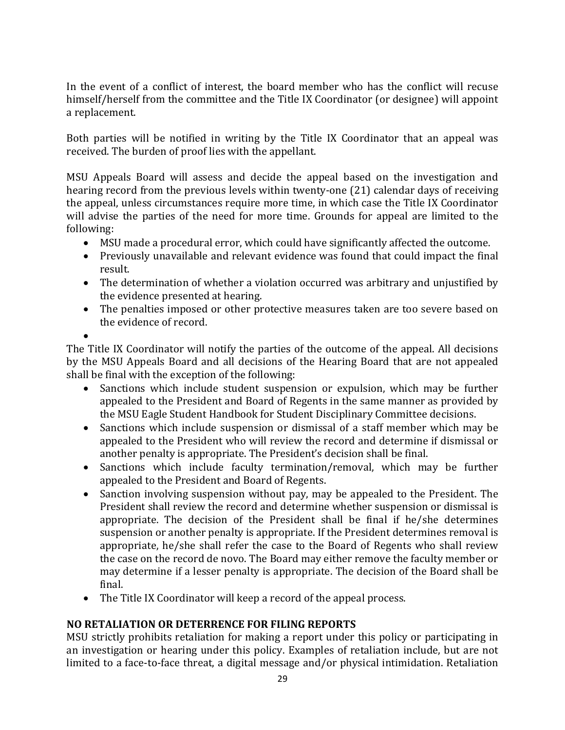In the event of a conflict of interest, the board member who has the conflict will recuse himself/herself from the committee and the Title IX Coordinator (or designee) will appoint a replacement.

Both parties will be notified in writing by the Title IX Coordinator that an appeal was received. The burden of proof lies with the appellant.

MSU Appeals Board will assess and decide the appeal based on the investigation and hearing record from the previous levels within twenty-one  $(21)$  calendar days of receiving the appeal, unless circumstances require more time, in which case the Title IX Coordinator will advise the parties of the need for more time. Grounds for appeal are limited to the following:

- MSU made a procedural error, which could have significantly affected the outcome.
- Previously unavailable and relevant evidence was found that could impact the final result.
- The determination of whether a violation occurred was arbitrary and unjustified by the evidence presented at hearing.
- The penalties imposed or other protective measures taken are too severe based on the evidence of record.

•

The Title IX Coordinator will notify the parties of the outcome of the appeal. All decisions by the MSU Appeals Board and all decisions of the Hearing Board that are not appealed shall be final with the exception of the following:

- Sanctions which include student suspension or expulsion, which may be further appealed to the President and Board of Regents in the same manner as provided by the MSU Eagle Student Handbook for Student Disciplinary Committee decisions.
- Sanctions which include suspension or dismissal of a staff member which may be appealed to the President who will review the record and determine if dismissal or another penalty is appropriate. The President's decision shall be final.
- Sanctions which include faculty termination/removal, which may be further appealed to the President and Board of Regents.
- Sanction involving suspension without pay, may be appealed to the President. The President shall review the record and determine whether suspension or dismissal is appropriate. The decision of the President shall be final if he/she determines suspension or another penalty is appropriate. If the President determines removal is appropriate, he/she shall refer the case to the Board of Regents who shall review the case on the record de novo. The Board may either remove the faculty member or may determine if a lesser penalty is appropriate. The decision of the Board shall be final.
- The Title IX Coordinator will keep a record of the appeal process.

#### **NO RETALIATION OR DETERRENCE FOR FILING REPORTS**

MSU strictly prohibits retaliation for making a report under this policy or participating in an investigation or hearing under this policy. Examples of retaliation include, but are not limited to a face-to-face threat, a digital message and/or physical intimidation. Retaliation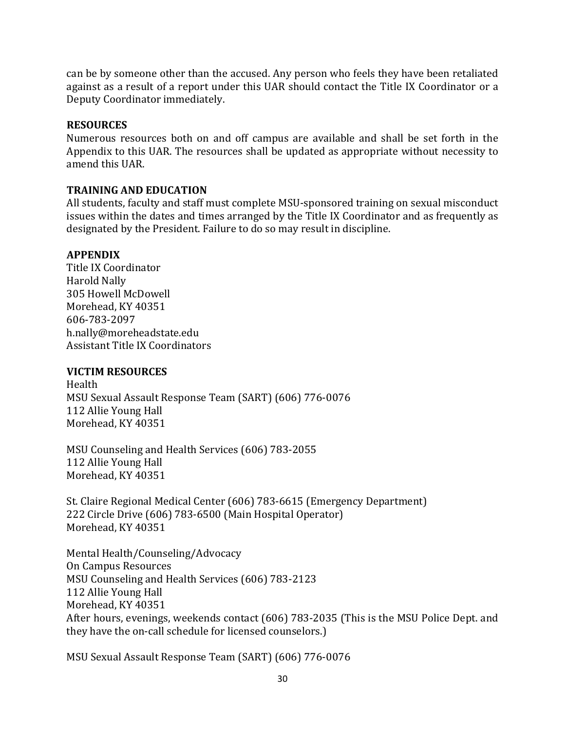can be by someone other than the accused. Any person who feels they have been retaliated against as a result of a report under this UAR should contact the Title IX Coordinator or a Deputy Coordinator immediately.

#### **RESOURCES**

Numerous resources both on and off campus are available and shall be set forth in the Appendix to this UAR. The resources shall be updated as appropriate without necessity to amend this UAR.

#### **TRAINING AND EDUCATION**

All students, faculty and staff must complete MSU-sponsored training on sexual misconduct issues within the dates and times arranged by the Title IX Coordinator and as frequently as designated by the President. Failure to do so may result in discipline.

#### **APPENDIX**

Title IX Coordinator Harold Nally 305 Howell McDowell Morehead, KY 40351 606-783-2097 h.nally@moreheadstate.edu Assistant Title IX Coordinators

#### **VICTIM RESOURCES**

Health MSU Sexual Assault Response Team (SART) (606) 776-0076 112 Allie Young Hall Morehead, KY 40351

MSU Counseling and Health Services (606) 783-2055 112 Allie Young Hall Morehead, KY 40351

St. Claire Regional Medical Center (606) 783-6615 (Emergency Department) 222 Circle Drive (606) 783-6500 (Main Hospital Operator) Morehead, KY 40351

Mental Health/Counseling/Advocacy **On Campus Resources** MSU Counseling and Health Services (606) 783-2123 112 Allie Young Hall Morehead, KY 40351 After hours, evenings, weekends contact (606) 783-2035 (This is the MSU Police Dept. and they have the on-call schedule for licensed counselors.)

MSU Sexual Assault Response Team (SART) (606) 776-0076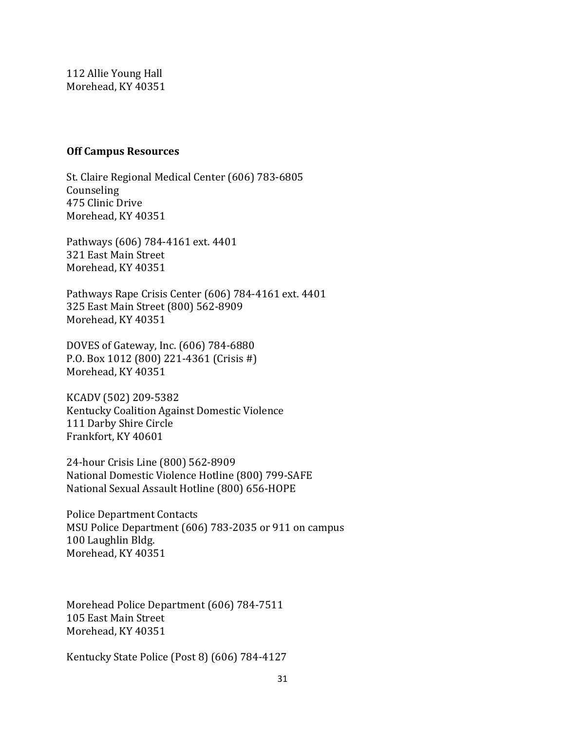112 Allie Young Hall Morehead, KY 40351

#### **Off Campus Resources**

St. Claire Regional Medical Center (606) 783-6805 Counseling 475 Clinic Drive Morehead, KY 40351

Pathways (606) 784-4161 ext. 4401 321 East Main Street Morehead, KY 40351

Pathways Rape Crisis Center (606) 784-4161 ext. 4401 325 East Main Street (800) 562-8909 Morehead, KY 40351

DOVES of Gateway, Inc. (606) 784-6880 P.O. Box 1012 (800) 221-4361 (Crisis #) Morehead, KY 40351

KCADV (502) 209-5382 Kentucky Coalition Against Domestic Violence 111 Darby Shire Circle Frankfort, KY 40601

24-hour Crisis Line (800) 562-8909 National Domestic Violence Hotline (800) 799-SAFE National Sexual Assault Hotline (800) 656-HOPE

Police Department Contacts MSU Police Department (606) 783-2035 or 911 on campus 100 Laughlin Bldg. Morehead, KY 40351

Morehead Police Department (606) 784-7511 105 East Main Street Morehead, KY 40351

Kentucky State Police (Post 8) (606) 784-4127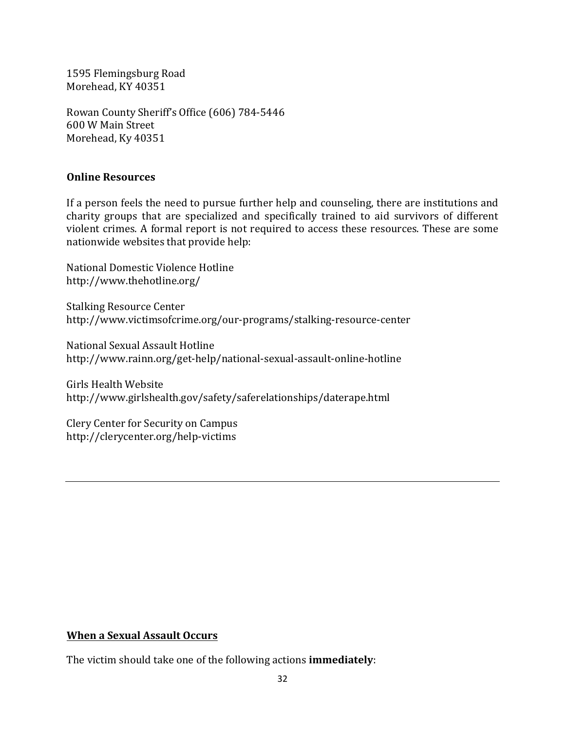1595 Flemingsburg Road Morehead, KY 40351

Rowan County Sheriff's Office (606) 784-5446 600 W Main Street Morehead, Ky 40351

#### **Online Resources**

If a person feels the need to pursue further help and counseling, there are institutions and charity groups that are specialized and specifically trained to aid survivors of different violent crimes. A formal report is not required to access these resources. These are some nationwide websites that provide help:

National Domestic Violence Hotline http://www.thehotline.org/

**Stalking Resource Center** http://www.victimsofcrime.org/our-programs/stalking-resource-center

National Sexual Assault Hotline http://www.rainn.org/get-help/national-sexual-assault-online-hotline

Girls Health Website http://www.girlshealth.gov/safety/saferelationships/daterape.html

Clery Center for Security on Campus http://clerycenter.org/help-victims

#### **When a Sexual Assault Occurs**

The victim should take one of the following actions **immediately**: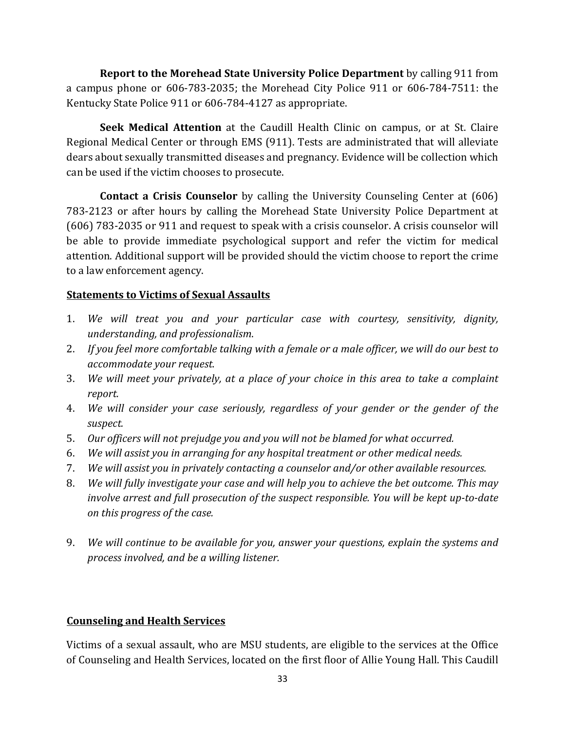**Report to the Morehead State University Police Department** by calling 911 from a campus phone or  $606-783-2035$ ; the Morehead City Police  $911$  or  $606-784-7511$ : the Kentucky State Police 911 or 606-784-4127 as appropriate.

**Seek Medical Attention** at the Caudill Health Clinic on campus, or at St. Claire Regional Medical Center or through EMS (911). Tests are administrated that will alleviate dears about sexually transmitted diseases and pregnancy. Evidence will be collection which can be used if the victim chooses to prosecute.

**Contact a Crisis Counselor** by calling the University Counseling Center at (606) 783-2123 or after hours by calling the Morehead State University Police Department at (606) 783-2035 or 911 and request to speak with a crisis counselor. A crisis counselor will be able to provide immediate psychological support and refer the victim for medical attention. Additional support will be provided should the victim choose to report the crime to a law enforcement agency.

#### **Statements to Victims of Sexual Assaults**

- 1. We will treat you and your particular case with courtesy, sensitivity, dignity, *understanding, and professionalism*.
- 2. If you feel more comfortable talking with a female or a male officer, we will do our best to *accommodate your request.*
- 3. *We will meet your privately, at a place of your choice in this area to take a complaint report.*
- 4. *We will consider your case seriously, regardless of your gender or the gender of the suspect.*
- 5. Our officers will not prejudge you and you will not be blamed for what occurred.
- 6. *We will assist you in arranging for any hospital treatment or other medical needs.*
- 7. *We will assist you in privately contacting a counselor and/or other available resources.*
- 8. *We will fully investigate your case and will help you to achieve the bet outcome. This may involve arrest and full prosecution of the suspect responsible. You will be kept up-to-date on this progress of the case.*
- 9. *We will continue to be available for you, answer your questions, explain the systems and process involved, and be a willing listener.*

#### **Counseling and Health Services**

Victims of a sexual assault, who are MSU students, are eligible to the services at the Office of Counseling and Health Services, located on the first floor of Allie Young Hall. This Caudill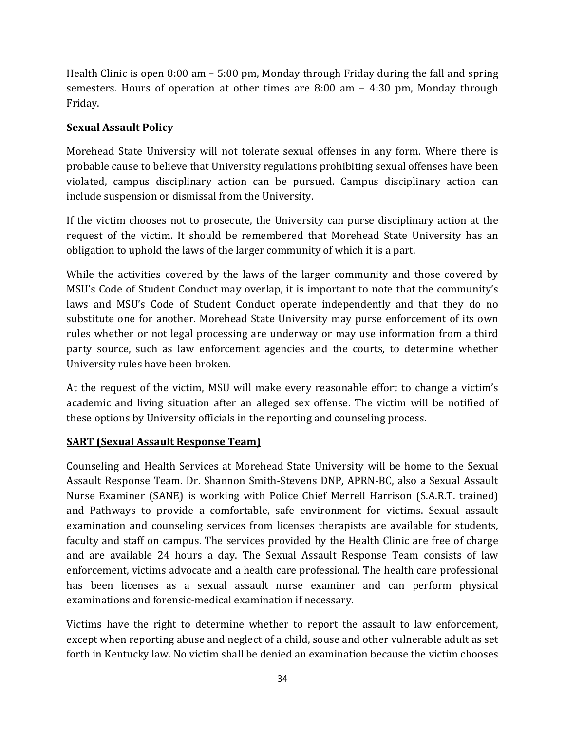Health Clinic is open  $8:00 \text{ am} - 5:00 \text{ pm}$ , Monday through Friday during the fall and spring semesters. Hours of operation at other times are  $8:00$  am  $-$  4:30 pm, Monday through Friday. 

#### **Sexual Assault Policy**

Morehead State University will not tolerate sexual offenses in any form. Where there is probable cause to believe that University regulations prohibiting sexual offenses have been violated, campus disciplinary action can be pursued. Campus disciplinary action can include suspension or dismissal from the University.

If the victim chooses not to prosecute, the University can purse disciplinary action at the request of the victim. It should be remembered that Morehead State University has an obligation to uphold the laws of the larger community of which it is a part.

While the activities covered by the laws of the larger community and those covered by MSU's Code of Student Conduct may overlap, it is important to note that the community's laws and MSU's Code of Student Conduct operate independently and that they do no substitute one for another. Morehead State University may purse enforcement of its own rules whether or not legal processing are underway or may use information from a third party source, such as law enforcement agencies and the courts, to determine whether University rules have been broken.

At the request of the victim, MSU will make every reasonable effort to change a victim's academic and living situation after an alleged sex offense. The victim will be notified of these options by University officials in the reporting and counseling process.

#### **SART** (Sexual Assault Response Team)

Counseling and Health Services at Morehead State University will be home to the Sexual Assault Response Team. Dr. Shannon Smith-Stevens DNP, APRN-BC, also a Sexual Assault Nurse Examiner (SANE) is working with Police Chief Merrell Harrison (S.A.R.T. trained) and Pathways to provide a comfortable, safe environment for victims. Sexual assault examination and counseling services from licenses therapists are available for students, faculty and staff on campus. The services provided by the Health Clinic are free of charge and are available 24 hours a day. The Sexual Assault Response Team consists of law enforcement, victims advocate and a health care professional. The health care professional has been licenses as a sexual assault nurse examiner and can perform physical examinations and forensic-medical examination if necessary.

Victims have the right to determine whether to report the assault to law enforcement, except when reporting abuse and neglect of a child, souse and other vulnerable adult as set forth in Kentucky law. No victim shall be denied an examination because the victim chooses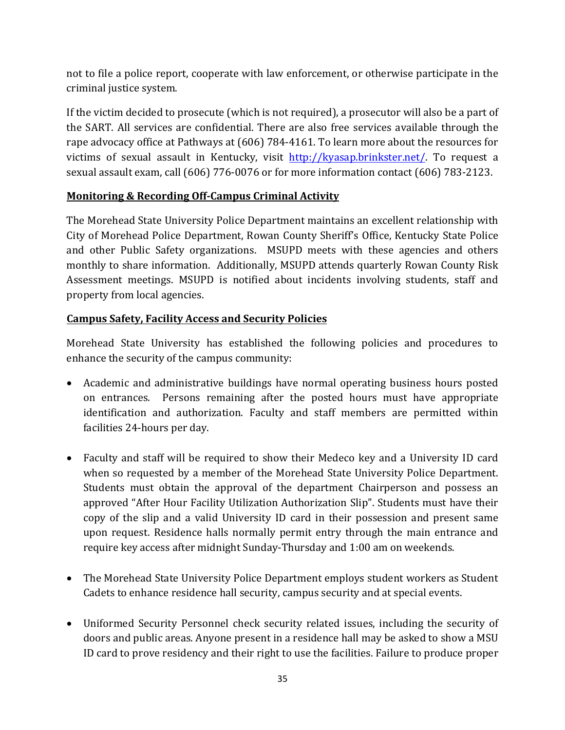not to file a police report, cooperate with law enforcement, or otherwise participate in the criminal justice system.

If the victim decided to prosecute (which is not required), a prosecutor will also be a part of the SART. All services are confidential. There are also free services available through the rape advocacy office at Pathways at (606) 784-4161. To learn more about the resources for victims of sexual assault in Kentucky, visit http://kyasap.brinkster.net/. To request a sexual assault exam, call (606) 776-0076 or for more information contact (606) 783-2123.

#### **Monitoring & Recording Off-Campus Criminal Activity**

The Morehead State University Police Department maintains an excellent relationship with City of Morehead Police Department, Rowan County Sheriff's Office, Kentucky State Police and other Public Safety organizations. MSUPD meets with these agencies and others monthly to share information. Additionally, MSUPD attends quarterly Rowan County Risk Assessment meetings. MSUPD is notified about incidents involving students, staff and property from local agencies.

#### **Campus Safety, Facility Access and Security Policies**

Morehead State University has established the following policies and procedures to enhance the security of the campus community:

- Academic and administrative buildings have normal operating business hours posted on entrances. Persons remaining after the posted hours must have appropriate identification and authorization. Faculty and staff members are permitted within facilities 24-hours per day.
- Faculty and staff will be required to show their Medeco key and a University ID card when so requested by a member of the Morehead State University Police Department. Students must obtain the approval of the department Chairperson and possess an approved "After Hour Facility Utilization Authorization Slip". Students must have their copy of the slip and a valid University ID card in their possession and present same upon request. Residence halls normally permit entry through the main entrance and require key access after midnight Sunday-Thursday and 1:00 am on weekends.
- The Morehead State University Police Department employs student workers as Student Cadets to enhance residence hall security, campus security and at special events.
- Uniformed Security Personnel check security related issues, including the security of doors and public areas. Anyone present in a residence hall may be asked to show a MSU ID card to prove residency and their right to use the facilities. Failure to produce proper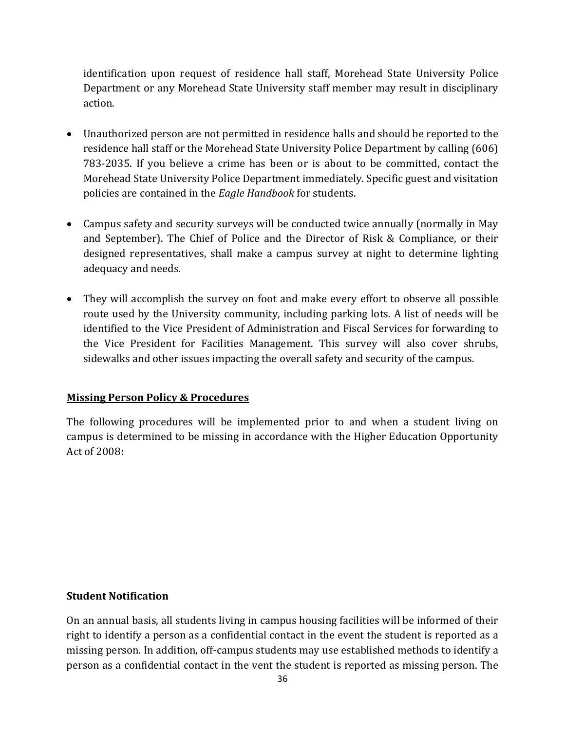identification upon request of residence hall staff, Morehead State University Police Department or any Morehead State University staff member may result in disciplinary action.

- Unauthorized person are not permitted in residence halls and should be reported to the residence hall staff or the Morehead State University Police Department by calling (606) 783-2035. If you believe a crime has been or is about to be committed, contact the Morehead State University Police Department immediately. Specific guest and visitation policies are contained in the *Eagle Handbook* for students.
- Campus safety and security surveys will be conducted twice annually (normally in May and September). The Chief of Police and the Director of Risk & Compliance, or their designed representatives, shall make a campus survey at night to determine lighting adequacy and needs.
- They will accomplish the survey on foot and make every effort to observe all possible route used by the University community, including parking lots. A list of needs will be identified to the Vice President of Administration and Fiscal Services for forwarding to the Vice President for Facilities Management. This survey will also cover shrubs, sidewalks and other issues impacting the overall safety and security of the campus.

#### **Missing Person Policy & Procedures**

The following procedures will be implemented prior to and when a student living on campus is determined to be missing in accordance with the Higher Education Opportunity Act of 2008:

#### **Student Notification**

On an annual basis, all students living in campus housing facilities will be informed of their right to identify a person as a confidential contact in the event the student is reported as a missing person. In addition, off-campus students may use established methods to identify a person as a confidential contact in the vent the student is reported as missing person. The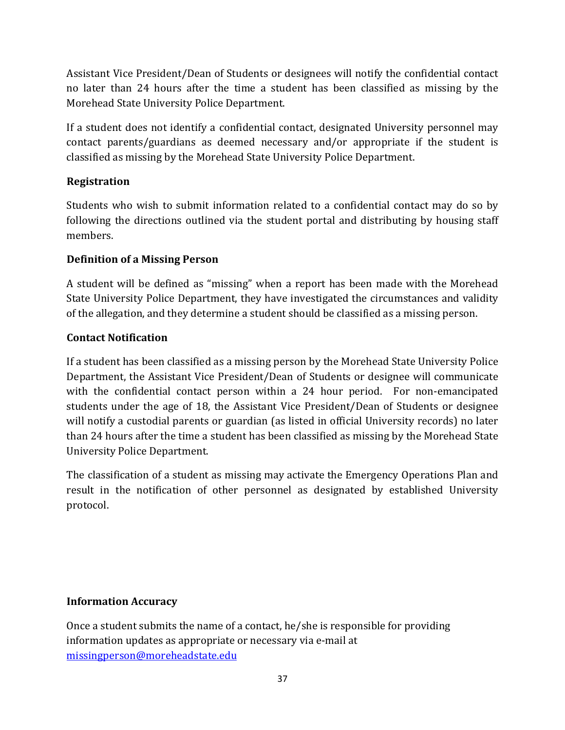Assistant Vice President/Dean of Students or designees will notify the confidential contact no later than 24 hours after the time a student has been classified as missing by the Morehead State University Police Department.

If a student does not identify a confidential contact, designated University personnel may contact parents/guardians as deemed necessary and/or appropriate if the student is classified as missing by the Morehead State University Police Department.

#### **Registration**

Students who wish to submit information related to a confidential contact may do so by following the directions outlined via the student portal and distributing by housing staff members. 

#### **Definition of a Missing Person**

A student will be defined as "missing" when a report has been made with the Morehead State University Police Department, they have investigated the circumstances and validity of the allegation, and they determine a student should be classified as a missing person.

#### **Contact Notification**

If a student has been classified as a missing person by the Morehead State University Police Department, the Assistant Vice President/Dean of Students or designee will communicate with the confidential contact person within a 24 hour period. For non-emancipated students under the age of 18, the Assistant Vice President/Dean of Students or designee will notify a custodial parents or guardian (as listed in official University records) no later than 24 hours after the time a student has been classified as missing by the Morehead State University Police Department.

The classification of a student as missing may activate the Emergency Operations Plan and result in the notification of other personnel as designated by established University protocol.

#### **Information Accuracy**

Once a student submits the name of a contact, he/she is responsible for providing information updates as appropriate or necessary via e-mail at missingperson@moreheadstate.edu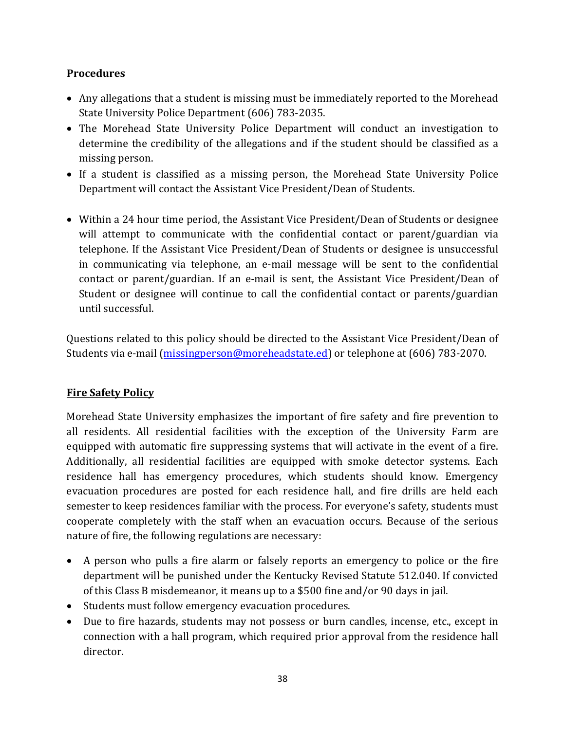#### **Procedures**

- Any allegations that a student is missing must be immediately reported to the Morehead State University Police Department (606) 783-2035.
- The Morehead State University Police Department will conduct an investigation to determine the credibility of the allegations and if the student should be classified as a missing person.
- If a student is classified as a missing person, the Morehead State University Police Department will contact the Assistant Vice President/Dean of Students.
- Within a 24 hour time period, the Assistant Vice President/Dean of Students or designee will attempt to communicate with the confidential contact or parent/guardian via telephone. If the Assistant Vice President/Dean of Students or designee is unsuccessful in communicating via telephone, an e-mail message will be sent to the confidential contact or parent/guardian. If an e-mail is sent, the Assistant Vice President/Dean of Student or designee will continue to call the confidential contact or parents/guardian until successful.

Questions related to this policy should be directed to the Assistant Vice President/Dean of Students via e-mail (missingperson@moreheadstate.ed) or telephone at (606) 783-2070.

#### **Fire Safety Policy**

Morehead State University emphasizes the important of fire safety and fire prevention to all residents. All residential facilities with the exception of the University Farm are equipped with automatic fire suppressing systems that will activate in the event of a fire. Additionally, all residential facilities are equipped with smoke detector systems. Each residence hall has emergency procedures, which students should know. Emergency evacuation procedures are posted for each residence hall, and fire drills are held each semester to keep residences familiar with the process. For everyone's safety, students must cooperate completely with the staff when an evacuation occurs. Because of the serious nature of fire, the following regulations are necessary:

- A person who pulls a fire alarm or falsely reports an emergency to police or the fire department will be punished under the Kentucky Revised Statute 512.040. If convicted of this Class B misdemeanor, it means up to a \$500 fine and/or 90 days in jail.
- Students must follow emergency evacuation procedures.
- Due to fire hazards, students may not possess or burn candles, incense, etc., except in connection with a hall program, which required prior approval from the residence hall director.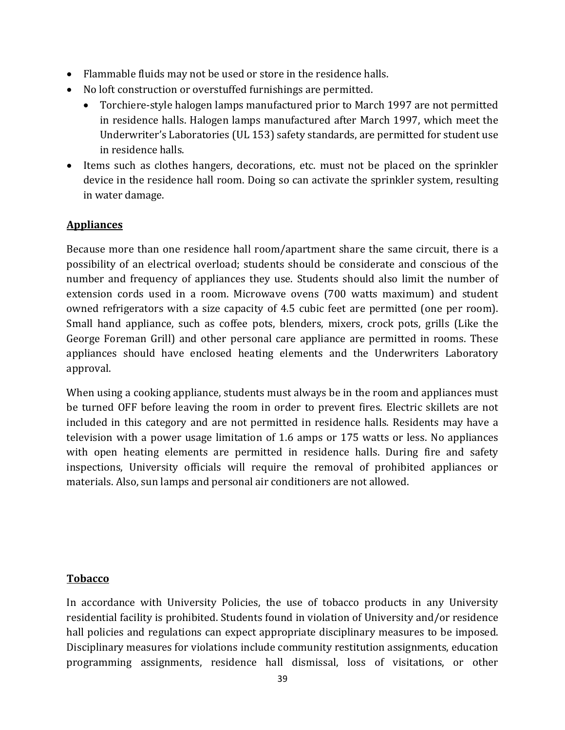- Flammable fluids may not be used or store in the residence halls.
- No loft construction or overstuffed furnishings are permitted.
	- Torchiere-style halogen lamps manufactured prior to March 1997 are not permitted in residence halls. Halogen lamps manufactured after March 1997, which meet the Underwriter's Laboratories (UL 153) safety standards, are permitted for student use in residence halls.
- Items such as clothes hangers, decorations, etc. must not be placed on the sprinkler device in the residence hall room. Doing so can activate the sprinkler system, resulting in water damage.

#### **Appliances**

Because more than one residence hall room/apartment share the same circuit, there is a possibility of an electrical overload; students should be considerate and conscious of the number and frequency of appliances they use. Students should also limit the number of extension cords used in a room. Microwave ovens (700 watts maximum) and student owned refrigerators with a size capacity of 4.5 cubic feet are permitted (one per room). Small hand appliance, such as coffee pots, blenders, mixers, crock pots, grills (Like the George Foreman Grill) and other personal care appliance are permitted in rooms. These appliances should have enclosed heating elements and the Underwriters Laboratory approval. 

When using a cooking appliance, students must always be in the room and appliances must be turned OFF before leaving the room in order to prevent fires. Electric skillets are not included in this category and are not permitted in residence halls. Residents may have a television with a power usage limitation of 1.6 amps or 175 watts or less. No appliances with open heating elements are permitted in residence halls. During fire and safety inspections, University officials will require the removal of prohibited appliances or materials. Also, sun lamps and personal air conditioners are not allowed.

#### **Tobacco**

In accordance with University Policies, the use of tobacco products in any University residential facility is prohibited. Students found in violation of University and/or residence hall policies and regulations can expect appropriate disciplinary measures to be imposed. Disciplinary measures for violations include community restitution assignments, education programming assignments, residence hall dismissal, loss of visitations, or other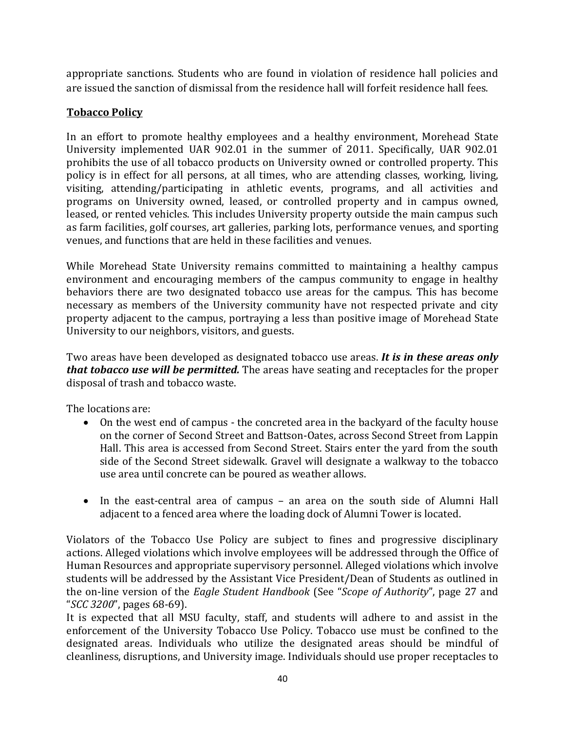appropriate sanctions. Students who are found in violation of residence hall policies and are issued the sanction of dismissal from the residence hall will forfeit residence hall fees.

#### **Tobacco Policy**

In an effort to promote healthy employees and a healthy environment, Morehead State University implemented UAR 902.01 in the summer of 2011. Specifically, UAR 902.01 prohibits the use of all tobacco products on University owned or controlled property. This policy is in effect for all persons, at all times, who are attending classes, working, living, visiting, attending/participating in athletic events, programs, and all activities and programs on University owned, leased, or controlled property and in campus owned, leased, or rented vehicles. This includes University property outside the main campus such as farm facilities, golf courses, art galleries, parking lots, performance venues, and sporting venues, and functions that are held in these facilities and venues.

While Morehead State University remains committed to maintaining a healthy campus environment and encouraging members of the campus community to engage in healthy behaviors there are two designated tobacco use areas for the campus. This has become necessary as members of the University community have not respected private and city property adjacent to the campus, portraying a less than positive image of Morehead State University to our neighbors, visitors, and guests.

Two areas have been developed as designated tobacco use areas. *It is in these areas only that tobacco use will be permitted.* The areas have seating and receptacles for the proper disposal of trash and tobacco waste.

The locations are:

- On the west end of campus the concreted area in the backyard of the faculty house on the corner of Second Street and Battson-Oates, across Second Street from Lappin Hall. This area is accessed from Second Street. Stairs enter the yard from the south side of the Second Street sidewalk. Gravel will designate a walkway to the tobacco use area until concrete can be poured as weather allows.
- In the east-central area of campus an area on the south side of Alumni Hall adjacent to a fenced area where the loading dock of Alumni Tower is located.

Violators of the Tobacco Use Policy are subject to fines and progressive disciplinary actions. Alleged violations which involve employees will be addressed through the Office of Human Resources and appropriate supervisory personnel. Alleged violations which involve students will be addressed by the Assistant Vice President/Dean of Students as outlined in the on-line version of the *Eagle Student Handbook* (See "*Scope of Authority*", page 27 and "*SCC 3200*", pages 68-69). 

It is expected that all MSU faculty, staff, and students will adhere to and assist in the enforcement of the University Tobacco Use Policy. Tobacco use must be confined to the designated areas. Individuals who utilize the designated areas should be mindful of cleanliness, disruptions, and University image. Individuals should use proper receptacles to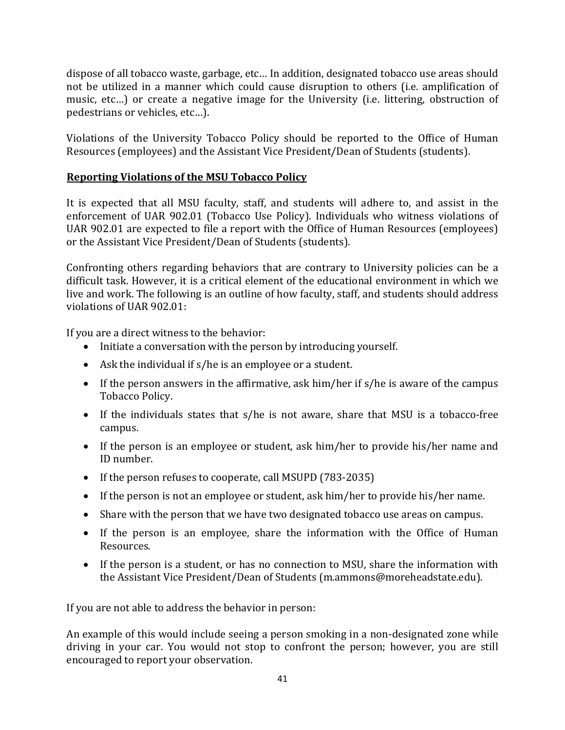dispose of all tobacco waste, garbage, etc... In addition, designated tobacco use areas should not be utilized in a manner which could cause disruption to others (i.e. amplification of music, etc...) or create a negative image for the University (i.e. littering, obstruction of pedestrians or vehicles, etc...).

Violations of the University Tobacco Policy should be reported to the Office of Human Resources (employees) and the Assistant Vice President/Dean of Students (students).

#### **Reporting Violations of the MSU Tobacco Policy**

It is expected that all MSU faculty, staff, and students will adhere to, and assist in the enforcement of UAR 902.01 (Tobacco Use Policy). Individuals who witness violations of UAR 902.01 are expected to file a report with the Office of Human Resources (employees) or the Assistant Vice President/Dean of Students (students).

Confronting others regarding behaviors that are contrary to University policies can be a difficult task. However, it is a critical element of the educational environment in which we live and work. The following is an outline of how faculty, staff, and students should address violations of UAR 902.01:

If you are a direct witness to the behavior:

- $\bullet$  Initiate a conversation with the person by introducing vourself.
- Ask the individual if  $s/h$ e is an employee or a student.
- If the person answers in the affirmative, ask him/her if  $s/h$ e is aware of the campus Tobacco Policy.
- If the individuals states that s/he is not aware, share that MSU is a tobacco-free campus.
- If the person is an employee or student, ask him/her to provide his/her name and ID number.
- If the person refuses to cooperate, call MSUPD (783-2035)
- If the person is not an employee or student, ask him/her to provide his/her name.
- Share with the person that we have two designated tobacco use areas on campus.
- If the person is an employee, share the information with the Office of Human Resources.
- If the person is a student, or has no connection to MSU, share the information with the Assistant Vice President/Dean of Students (m.ammons@moreheadstate.edu).

If you are not able to address the behavior in person:

An example of this would include seeing a person smoking in a non-designated zone while driving in your car. You would not stop to confront the person; however, you are still encouraged to report your observation.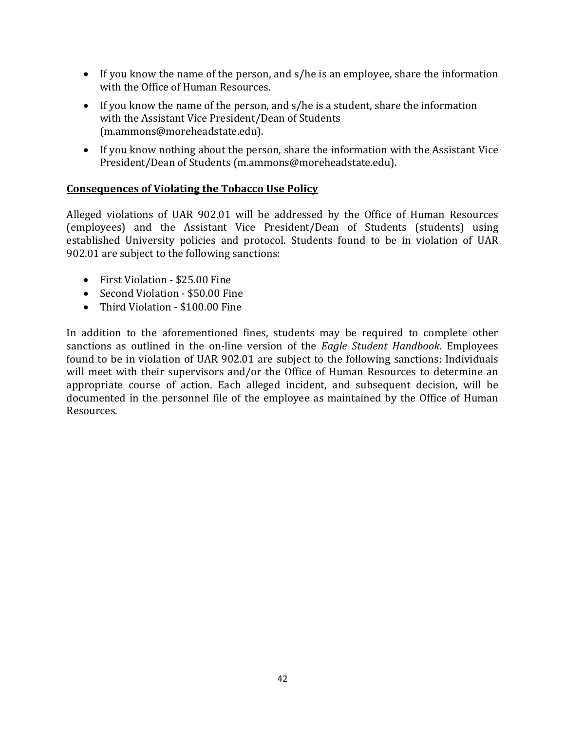- If you know the name of the person, and  $s/h$ e is an employee, share the information with the Office of Human Resources.
- If you know the name of the person, and  $s/h$ e is a student, share the information with the Assistant Vice President/Dean of Students (m.ammons@moreheadstate.edu).
- If you know nothing about the person, share the information with the Assistant Vice President/Dean of Students (m.ammons@moreheadstate.edu).

#### **Consequences of Violating the Tobacco Use Policy**

Alleged violations of UAR 902.01 will be addressed by the Office of Human Resources (employees) and the Assistant Vice President/Dean of Students (students) using established University policies and protocol. Students found to be in violation of UAR 902.01 are subject to the following sanctions:

- First Violation \$25.00 Fine
- Second Violation \$50.00 Fine
- Third Violation \$100.00 Fine

In addition to the aforementioned fines, students may be required to complete other sanctions as outlined in the on-line version of the *Eagle Student Handbook*. Employees found to be in violation of UAR 902.01 are subject to the following sanctions: Individuals will meet with their supervisors and/or the Office of Human Resources to determine an appropriate course of action. Each alleged incident, and subsequent decision, will be documented in the personnel file of the employee as maintained by the Office of Human Resources.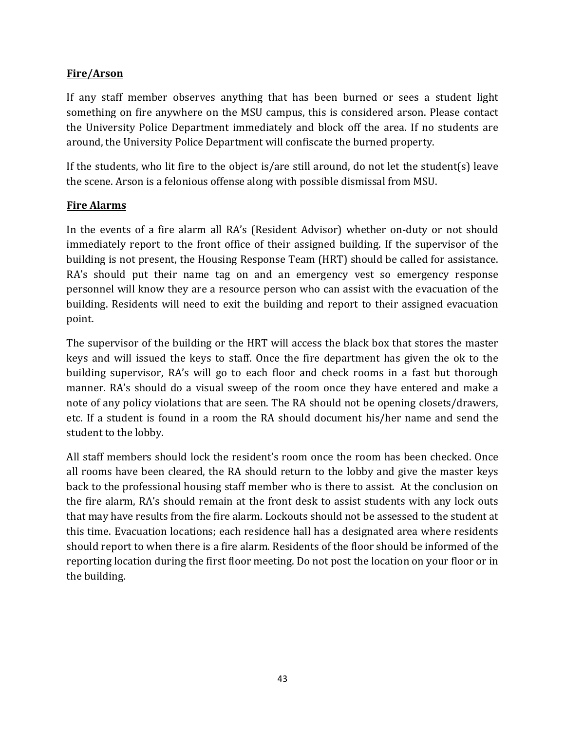#### **Fire/Arson**

If any staff member observes anything that has been burned or sees a student light something on fire anywhere on the MSU campus, this is considered arson. Please contact the University Police Department immediately and block off the area. If no students are around, the University Police Department will confiscate the burned property.

If the students, who lit fire to the object is/are still around, do not let the student(s) leave the scene. Arson is a felonious offense along with possible dismissal from MSU.

#### **Fire Alarms**

In the events of a fire alarm all RA's (Resident Advisor) whether on-duty or not should immediately report to the front office of their assigned building. If the supervisor of the building is not present, the Housing Response Team (HRT) should be called for assistance. RA's should put their name tag on and an emergency vest so emergency response personnel will know they are a resource person who can assist with the evacuation of the building. Residents will need to exit the building and report to their assigned evacuation point. 

The supervisor of the building or the HRT will access the black box that stores the master keys and will issued the keys to staff. Once the fire department has given the ok to the building supervisor, RA's will go to each floor and check rooms in a fast but thorough manner. RA's should do a visual sweep of the room once they have entered and make a note of any policy violations that are seen. The RA should not be opening closets/drawers, etc. If a student is found in a room the RA should document his/her name and send the student to the lobby.

All staff members should lock the resident's room once the room has been checked. Once all rooms have been cleared, the RA should return to the lobby and give the master keys back to the professional housing staff member who is there to assist. At the conclusion on the fire alarm, RA's should remain at the front desk to assist students with any lock outs that may have results from the fire alarm. Lockouts should not be assessed to the student at this time. Evacuation locations; each residence hall has a designated area where residents should report to when there is a fire alarm. Residents of the floor should be informed of the reporting location during the first floor meeting. Do not post the location on your floor or in the building.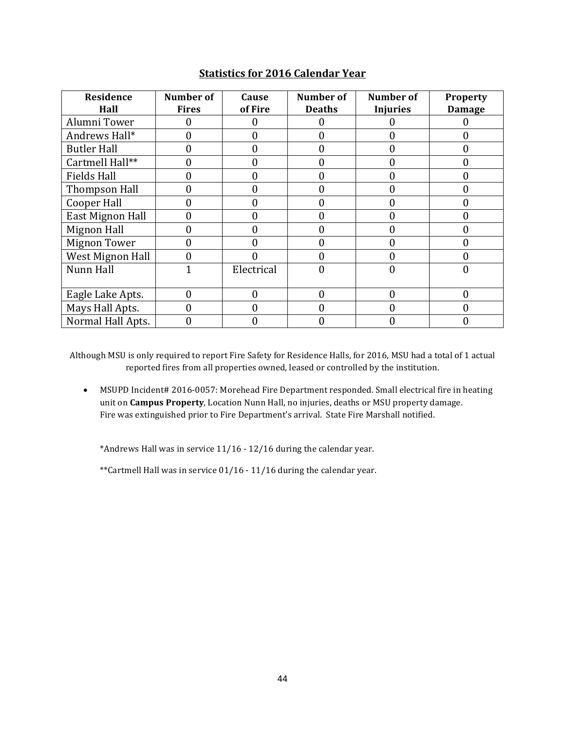| Residence               | <b>Number of</b> | Cause             | Number of     | Number of       | Property      |
|-------------------------|------------------|-------------------|---------------|-----------------|---------------|
| Hall                    | <b>Fires</b>     | of Fire           | <b>Deaths</b> | <b>Injuries</b> | <b>Damage</b> |
| Alumni Tower            |                  | $\mathbf{\Omega}$ |               |                 |               |
| Andrews Hall*           |                  | 0                 |               |                 | 0             |
| <b>Butler Hall</b>      |                  | 0                 | 0             | 0               | $\Omega$      |
| Cartmell Hall**         |                  | 0                 | 0             | 0               | 0             |
| <b>Fields Hall</b>      |                  |                   | 0             | 0               | 0             |
| Thompson Hall           |                  | 0                 | 0             | 0               | 0             |
| <b>Cooper Hall</b>      |                  | 0                 | 0             | 0               | 0             |
| East Mignon Hall        | 0                | 0                 | 0             | 0               | $\Omega$      |
| <b>Mignon Hall</b>      |                  | 0                 |               |                 | 0             |
| <b>Mignon Tower</b>     | 0                | 0                 | 0             | 0               | $\Omega$      |
| <b>West Mignon Hall</b> | 0                |                   | 0             | 0               | 0             |
| Nunn Hall               | 1                | Electrical        | 0             | 0               | 0             |
|                         |                  |                   |               |                 |               |
| Eagle Lake Apts.        | 0                | $\Omega$          | 0             | 0               | $\Omega$      |
| Mays Hall Apts.         | 0                | 0                 | 0             | 0               | $\Omega$      |
| Normal Hall Apts.       | 0                | 0                 | 0             | 0               | 0             |

#### **Statistics for 2016 Calendar Year**

Although MSU is only required to report Fire Safety for Residence Halls, for 2016, MSU had a total of 1 actual reported fires from all properties owned, leased or controlled by the institution.

• MSUPD Incident# 2016-0057: Morehead Fire Department responded. Small electrical fire in heating unit on **Campus Property**, Location Nunn Hall, no injuries, deaths or MSU property damage. Fire was extinguished prior to Fire Department's arrival. State Fire Marshall notified.

\*Andrews Hall was in service  $11/16 - 12/16$  during the calendar year.

\*\*Cartmell Hall was in service  $01/16 - 11/16$  during the calendar year.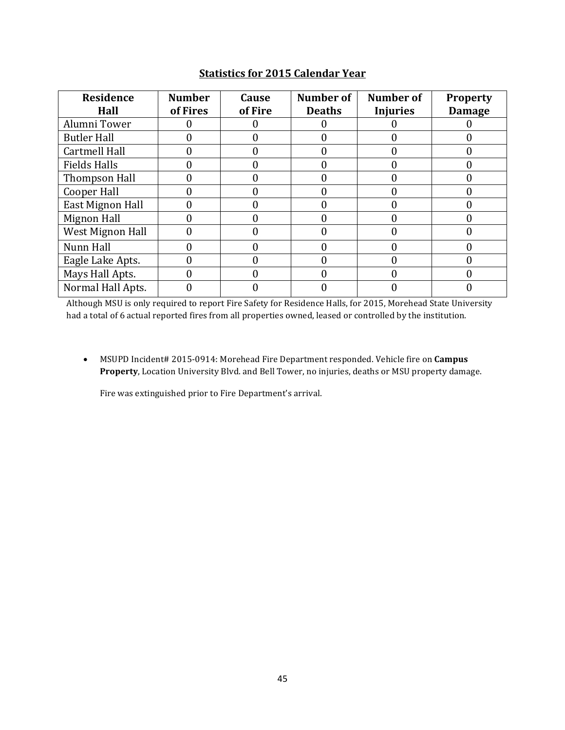| <b>Residence</b><br>Hall | <b>Number</b><br>of Fires | Cause<br>of Fire | Number of<br><b>Deaths</b> | Number of<br><b>Injuries</b> | <b>Property</b><br><b>Damage</b> |
|--------------------------|---------------------------|------------------|----------------------------|------------------------------|----------------------------------|
| Alumni Tower             |                           |                  |                            |                              |                                  |
| <b>Butler Hall</b>       |                           |                  |                            |                              |                                  |
| <b>Cartmell Hall</b>     |                           |                  | 0                          |                              |                                  |
| <b>Fields Halls</b>      |                           |                  | 0                          |                              |                                  |
| Thompson Hall            |                           |                  | 0                          |                              |                                  |
| Cooper Hall              |                           |                  |                            |                              |                                  |
| East Mignon Hall         |                           |                  |                            |                              |                                  |
| Mignon Hall              |                           |                  |                            |                              |                                  |
| West Mignon Hall         |                           |                  | 0                          |                              |                                  |
| Nunn Hall                |                           |                  |                            |                              |                                  |
| Eagle Lake Apts.         |                           |                  |                            |                              |                                  |
| Mays Hall Apts.          |                           |                  |                            |                              |                                  |
| Normal Hall Apts.        |                           |                  |                            |                              |                                  |

#### **Statistics for 2015 Calendar Year**

Although MSU is only required to report Fire Safety for Residence Halls, for 2015, Morehead State University had a total of 6 actual reported fires from all properties owned, leased or controlled by the institution.

• MSUPD Incident# 2015-0914: Morehead Fire Department responded. Vehicle fire on **Campus Property**, Location University Blvd. and Bell Tower, no injuries, deaths or MSU property damage.

Fire was extinguished prior to Fire Department's arrival.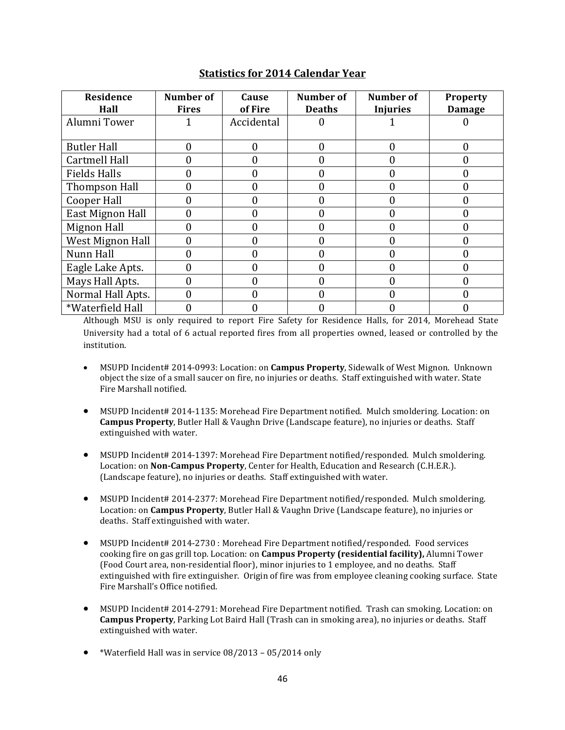| Residence            | <b>Number of</b> | Cause        | <b>Number of</b> | Number of       | <b>Property</b> |
|----------------------|------------------|--------------|------------------|-----------------|-----------------|
| Hall                 | <b>Fires</b>     | of Fire      | <b>Deaths</b>    | <b>Injuries</b> | <b>Damage</b>   |
| Alumni Tower         |                  | Accidental   | U                |                 |                 |
| <b>Butler Hall</b>   | 0                | $\mathbf{0}$ | 0                | 0               | $\theta$        |
| <b>Cartmell Hall</b> |                  | $\Omega$     | 0                | 0               | $\Omega$        |
| <b>Fields Halls</b>  |                  | $\theta$     | 0                | 0               | 0               |
| Thompson Hall        |                  | $\Omega$     | 0                | 0               | $\Omega$        |
| Cooper Hall          |                  | 0            | 0                | 0               | 0               |
| East Mignon Hall     |                  | 0            | 0                | 0               | 0               |
| <b>Mignon Hall</b>   | 0                | 0            | 0                | 0               | 0               |
| West Mignon Hall     |                  | $\theta$     | 0                | 0               | 0               |
| Nunn Hall            |                  | 0            | 0                | 0               | $\Omega$        |
| Eagle Lake Apts.     |                  | 0            | 0                | 0               | 0               |
| Mays Hall Apts.      | 0                | 0            | 0                | 0               | 0               |
| Normal Hall Apts.    | N                | 0            | 0                | 0               | 0               |
| *Waterfield Hall     |                  | 0            | 0                |                 |                 |

#### **Statistics for 2014 Calendar Year**

Although MSU is only required to report Fire Safety for Residence Halls, for 2014, Morehead State University had a total of 6 actual reported fires from all properties owned, leased or controlled by the institution.

- MSUPD Incident# 2014-0993: Location: on **Campus Property**, Sidewalk of West Mignon. Unknown object the size of a small saucer on fire, no injuries or deaths. Staff extinguished with water. State Fire Marshall notified.
- MSUPD Incident# 2014-1135: Morehead Fire Department notified. Mulch smoldering. Location: on **Campus Property**, Butler Hall & Vaughn Drive (Landscape feature), no injuries or deaths. Staff extinguished with water.
- MSUPD Incident# 2014-1397: Morehead Fire Department notified/responded. Mulch smoldering. Location: on **Non-Campus Property**, Center for Health, Education and Research (C.H.E.R.). (Landscape feature), no injuries or deaths. Staff extinguished with water.
- MSUPD Incident# 2014-2377: Morehead Fire Department notified/responded. Mulch smoldering. Location: on **Campus Property**, Butler Hall & Vaughn Drive (Landscape feature), no injuries or deaths. Staff extinguished with water.
- MSUPD Incident# 2014-2730 : Morehead Fire Department notified/responded. Food services cooking fire on gas grill top. Location: on **Campus Property (residential facility)**, Alumni Tower (Food Court area, non-residential floor), minor injuries to 1 employee, and no deaths. Staff extinguished with fire extinguisher. Origin of fire was from employee cleaning cooking surface. State Fire Marshall's Office notified.
- MSUPD Incident# 2014-2791: Morehead Fire Department notified. Trash can smoking. Location: on **Campus Property**, Parking Lot Baird Hall (Trash can in smoking area), no injuries or deaths. Staff extinguished with water.
- \*Waterfield Hall was in service  $08/2013 05/2014$  only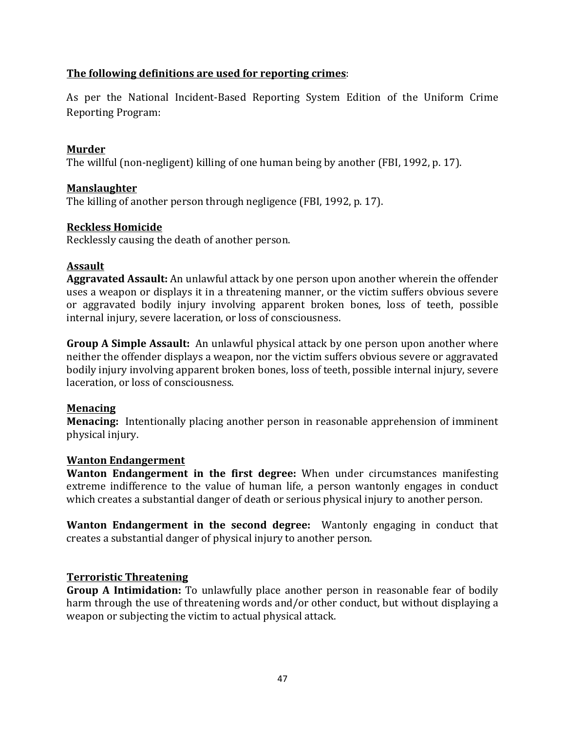#### **The following definitions are used for reporting crimes:**

As per the National Incident-Based Reporting System Edition of the Uniform Crime Reporting Program:

#### **Murder**

The willful (non-negligent) killing of one human being by another (FBI, 1992, p. 17).

#### **Manslaughter**

The killing of another person through negligence (FBI, 1992, p. 17).

#### **Reckless Homicide**

Recklessly causing the death of another person.

#### **Assault**

**Aggravated Assault:** An unlawful attack by one person upon another wherein the offender uses a weapon or displays it in a threatening manner, or the victim suffers obvious severe or aggravated bodily injury involving apparent broken bones, loss of teeth, possible internal injury, severe laceration, or loss of consciousness.

**Group A Simple Assault:** An unlawful physical attack by one person upon another where neither the offender displays a weapon, nor the victim suffers obvious severe or aggravated bodily injury involving apparent broken bones, loss of teeth, possible internal injury, severe laceration, or loss of consciousness.

#### **Menacing**

**Menacing:** Intentionally placing another person in reasonable apprehension of imminent physical injury.

#### **Wanton Endangerment**

**Wanton Endangerment in the first degree:** When under circumstances manifesting extreme indifference to the value of human life, a person wantonly engages in conduct which creates a substantial danger of death or serious physical injury to another person.

**Wanton Endangerment in the second degree:** Wantonly engaging in conduct that creates a substantial danger of physical injury to another person.

#### **Terroristic Threatening**

**Group A Intimidation:** To unlawfully place another person in reasonable fear of bodily harm through the use of threatening words and/or other conduct, but without displaying a weapon or subjecting the victim to actual physical attack.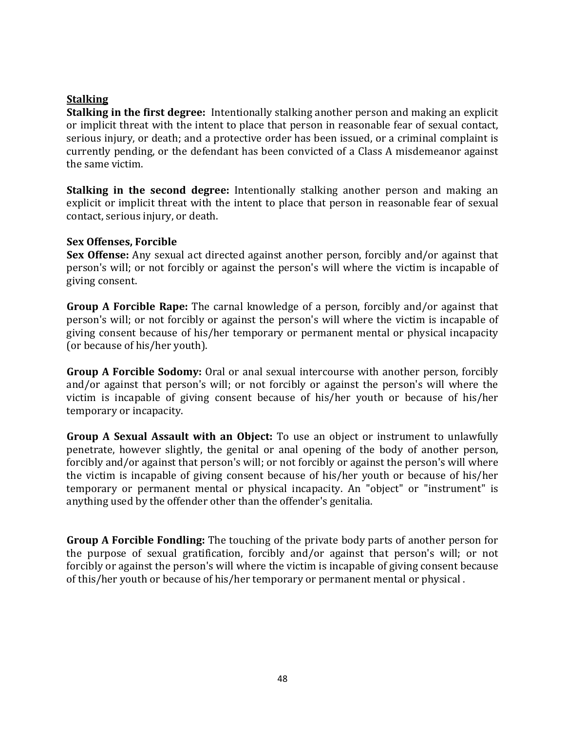#### **Stalking**

**Stalking in the first degree:** Intentionally stalking another person and making an explicit or implicit threat with the intent to place that person in reasonable fear of sexual contact, serious injury, or death; and a protective order has been issued, or a criminal complaint is currently pending, or the defendant has been convicted of a Class A misdemeanor against the same victim.

**Stalking in the second degree:** Intentionally stalking another person and making an explicit or implicit threat with the intent to place that person in reasonable fear of sexual contact, serious injury, or death.

#### **Sex Offenses, Forcible**

**Sex Offense:** Any sexual act directed against another person, forcibly and/or against that person's will; or not forcibly or against the person's will where the victim is incapable of giving consent.

**Group A Forcible Rape:** The carnal knowledge of a person, forcibly and/or against that person's will; or not forcibly or against the person's will where the victim is incapable of giving consent because of his/her temporary or permanent mental or physical incapacity (or because of his/her youth).

**Group A Forcible Sodomy:** Oral or anal sexual intercourse with another person, forcibly and/or against that person's will; or not forcibly or against the person's will where the victim is incapable of giving consent because of his/her youth or because of his/her temporary or incapacity.

**Group A Sexual Assault with an Object:** To use an object or instrument to unlawfully penetrate, however slightly, the genital or anal opening of the body of another person, forcibly and/or against that person's will; or not forcibly or against the person's will where the victim is incapable of giving consent because of his/her youth or because of his/her temporary or permanent mental or physical incapacity. An "object" or "instrument" is anything used by the offender other than the offender's genitalia.

**Group A Forcible Fondling:** The touching of the private body parts of another person for the purpose of sexual gratification, forcibly and/or against that person's will; or not forcibly or against the person's will where the victim is incapable of giving consent because of this/her youth or because of his/her temporary or permanent mental or physical.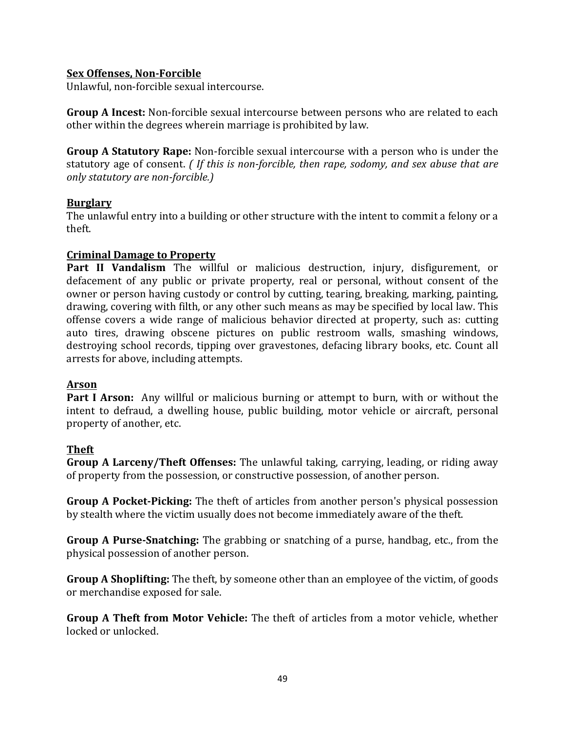#### **Sex Offenses, Non-Forcible**

Unlawful, non-forcible sexual intercourse.

**Group A Incest:** Non-forcible sexual intercourse between persons who are related to each other within the degrees wherein marriage is prohibited by law.

**Group A Statutory Rape:** Non-forcible sexual intercourse with a person who is under the statutory age of consent. *(If this is non-forcible, then rape, sodomy, and sex abuse that are only statutory are non-forcible.)* 

#### **Burglary**

The unlawful entry into a building or other structure with the intent to commit a felony or a theft.

#### **Criminal Damage to Property**

Part II Vandalism The willful or malicious destruction, injury, disfigurement, or defacement of any public or private property, real or personal, without consent of the owner or person having custody or control by cutting, tearing, breaking, marking, painting, drawing, covering with filth, or any other such means as may be specified by local law. This offense covers a wide range of malicious behavior directed at property, such as: cutting auto tires, drawing obscene pictures on public restroom walls, smashing windows, destroying school records, tipping over gravestones, defacing library books, etc. Count all arrests for above, including attempts.

#### **Arson**

**Part I Arson:** Any willful or malicious burning or attempt to burn, with or without the intent to defraud, a dwelling house, public building, motor vehicle or aircraft, personal property of another, etc.

#### **Theft**

**Group A Larceny/Theft Offenses:** The unlawful taking, carrying, leading, or riding away of property from the possession, or constructive possession, of another person.

**Group A Pocket-Picking:** The theft of articles from another person's physical possession by stealth where the victim usually does not become immediately aware of the theft.

**Group A Purse-Snatching:** The grabbing or snatching of a purse, handbag, etc., from the physical possession of another person.

**Group A Shoplifting:** The theft, by someone other than an employee of the victim, of goods or merchandise exposed for sale.

**Group A Theft from Motor Vehicle:** The theft of articles from a motor vehicle, whether locked or unlocked.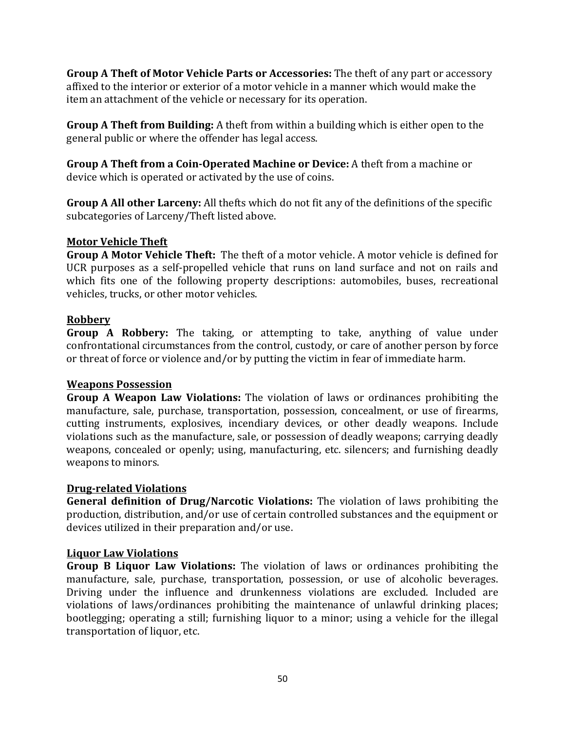**Group A Theft of Motor Vehicle Parts or Accessories:** The theft of any part or accessory affixed to the interior or exterior of a motor vehicle in a manner which would make the item an attachment of the vehicle or necessary for its operation.

**Group A Theft from Building:** A theft from within a building which is either open to the general public or where the offender has legal access.

**Group A Theft from a Coin-Operated Machine or Device:** A theft from a machine or device which is operated or activated by the use of coins.

**Group A All other Larceny:** All thefts which do not fit any of the definitions of the specific subcategories of Larceny/Theft listed above.

#### **Motor Vehicle Theft**

**Group A Motor Vehicle Theft:** The theft of a motor vehicle. A motor vehicle is defined for UCR purposes as a self-propelled vehicle that runs on land surface and not on rails and which fits one of the following property descriptions: automobiles, buses, recreational vehicles, trucks, or other motor vehicles.

#### **Robbery**

**Group A Robbery:** The taking, or attempting to take, anything of value under confrontational circumstances from the control, custody, or care of another person by force or threat of force or violence and/or by putting the victim in fear of immediate harm.

#### **Weapons Possession**

**Group A Weapon Law Violations:** The violation of laws or ordinances prohibiting the manufacture, sale, purchase, transportation, possession, concealment, or use of firearms, cutting instruments, explosives, incendiary devices, or other deadly weapons. Include violations such as the manufacture, sale, or possession of deadly weapons; carrying deadly weapons, concealed or openly; using, manufacturing, etc. silencers; and furnishing deadly weapons to minors.

#### **Drug-related Violations**

**General definition of Drug/Narcotic Violations:** The violation of laws prohibiting the production, distribution, and/or use of certain controlled substances and the equipment or devices utilized in their preparation and/or use.

#### **Liquor Law Violations**

**Group B Liquor Law Violations:** The violation of laws or ordinances prohibiting the manufacture, sale, purchase, transportation, possession, or use of alcoholic beverages. Driving under the influence and drunkenness violations are excluded. Included are violations of laws/ordinances prohibiting the maintenance of unlawful drinking places; bootlegging; operating a still; furnishing liquor to a minor; using a vehicle for the illegal transportation of liquor, etc.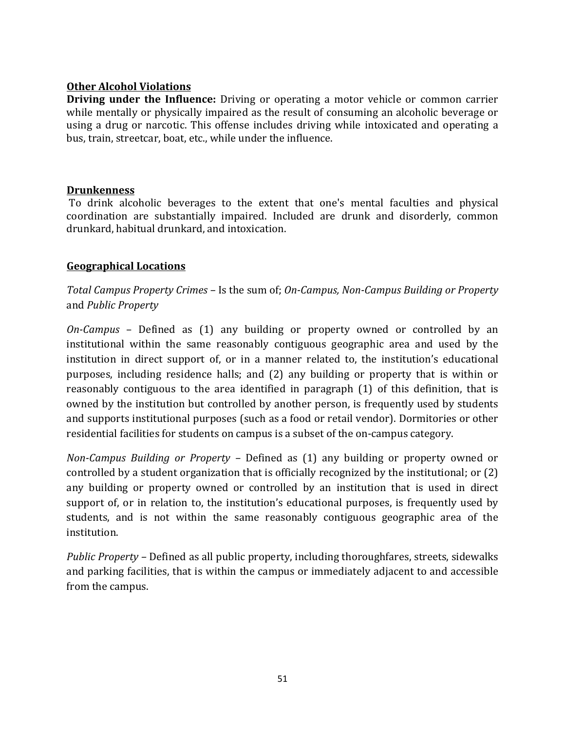#### **Other Alcohol Violations**

**Driving under the Influence:** Driving or operating a motor vehicle or common carrier while mentally or physically impaired as the result of consuming an alcoholic beverage or using a drug or narcotic. This offense includes driving while intoxicated and operating a bus, train, streetcar, boat, etc., while under the influence.

#### **Drunkenness**

To drink alcoholic beverages to the extent that one's mental faculties and physical coordination are substantially impaired. Included are drunk and disorderly, common drunkard, habitual drunkard, and intoxication.

#### **Geographical Locations**

*Total Campus Property Crimes –* Is the sum of; *On-Campus, Non-Campus Building or Property* and *Public Property*

*On-Campus* - Defined as (1) any building or property owned or controlled by an institutional within the same reasonably contiguous geographic area and used by the institution in direct support of, or in a manner related to, the institution's educational purposes, including residence halls; and (2) any building or property that is within or reasonably contiguous to the area identified in paragraph (1) of this definition, that is owned by the institution but controlled by another person, is frequently used by students and supports institutional purposes (such as a food or retail vendor). Dormitories or other residential facilities for students on campus is a subset of the on-campus category.

*Non-Campus Building or Property* – Defined as (1) any building or property owned or controlled by a student organization that is officially recognized by the institutional; or  $(2)$ any building or property owned or controlled by an institution that is used in direct support of, or in relation to, the institution's educational purposes, is frequently used by students, and is not within the same reasonably contiguous geographic area of the institution. 

*Public Property* - Defined as all public property, including thoroughfares, streets, sidewalks and parking facilities, that is within the campus or immediately adjacent to and accessible from the campus.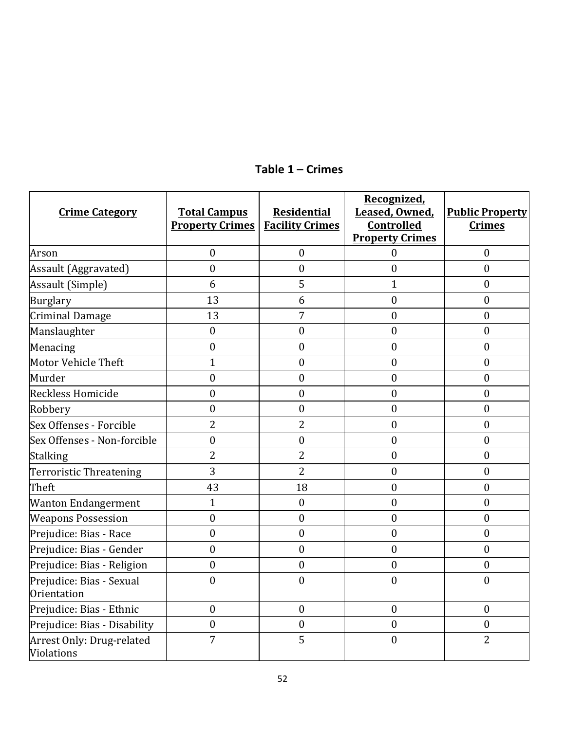| <b>Crime Category</b>                   | <b>Total Campus</b><br><b>Property Crimes</b> | <b>Residential</b><br><b>Facility Crimes</b> | Recognized,<br>Leased, Owned,<br><b>Controlled</b><br><b>Property Crimes</b> | <b>Public Property</b><br><b>Crimes</b> |
|-----------------------------------------|-----------------------------------------------|----------------------------------------------|------------------------------------------------------------------------------|-----------------------------------------|
| Arson                                   | $\mathbf{0}$                                  | $\mathbf{0}$                                 | $\mathbf{0}$                                                                 | $\boldsymbol{0}$                        |
| Assault (Aggravated)                    | $\boldsymbol{0}$                              | $\boldsymbol{0}$                             | $\mathbf{0}$                                                                 | $\mathbf{0}$                            |
| Assault (Simple)                        | 6                                             | 5                                            | 1                                                                            | $\boldsymbol{0}$                        |
| <b>Burglary</b>                         | 13                                            | 6                                            | $\boldsymbol{0}$                                                             | $\mathbf{0}$                            |
| <b>Criminal Damage</b>                  | 13                                            | 7                                            | $\boldsymbol{0}$                                                             | $\boldsymbol{0}$                        |
| Manslaughter                            | $\mathbf{0}$                                  | $\boldsymbol{0}$                             | $\mathbf{0}$                                                                 | $\mathbf{0}$                            |
| Menacing                                | $\boldsymbol{0}$                              | $\boldsymbol{0}$                             | $\boldsymbol{0}$                                                             | $\boldsymbol{0}$                        |
| Motor Vehicle Theft                     | $\mathbf{1}$                                  | $\mathbf{0}$                                 | $\mathbf{0}$                                                                 | $\mathbf{0}$                            |
| Murder                                  | $\boldsymbol{0}$                              | $\boldsymbol{0}$                             | $\boldsymbol{0}$                                                             | $\boldsymbol{0}$                        |
| Reckless Homicide                       | $\mathbf{0}$                                  | $\mathbf{0}$                                 | $\mathbf{0}$                                                                 | $\mathbf{0}$                            |
| Robbery                                 | $\boldsymbol{0}$                              | $\boldsymbol{0}$                             | $\boldsymbol{0}$                                                             | $\boldsymbol{0}$                        |
| Sex Offenses - Forcible                 | 2                                             | 2                                            | $\boldsymbol{0}$                                                             | $\boldsymbol{0}$                        |
| Sex Offenses - Non-forcible             | $\boldsymbol{0}$                              | $\boldsymbol{0}$                             | $\boldsymbol{0}$                                                             | $\boldsymbol{0}$                        |
| <b>Stalking</b>                         | $\overline{2}$                                | $\overline{2}$                               | $\boldsymbol{0}$                                                             | $\boldsymbol{0}$                        |
| <b>Terroristic Threatening</b>          | 3                                             | $\overline{2}$                               | $\boldsymbol{0}$                                                             | $\boldsymbol{0}$                        |
| Theft                                   | 43                                            | 18                                           | $\mathbf{0}$                                                                 | $\mathbf{0}$                            |
| <b>Wanton Endangerment</b>              | $\mathbf{1}$                                  | $\boldsymbol{0}$                             | $\boldsymbol{0}$                                                             | $\boldsymbol{0}$                        |
| <b>Weapons Possession</b>               | $\boldsymbol{0}$                              | $\boldsymbol{0}$                             | $\boldsymbol{0}$                                                             | $\boldsymbol{0}$                        |
| Prejudice: Bias - Race                  | $\mathbf{0}$                                  | $\mathbf{0}$                                 | $\mathbf{0}$                                                                 | $\mathbf{0}$                            |
| Prejudice: Bias - Gender                | $\boldsymbol{0}$                              | $\boldsymbol{0}$                             | $\boldsymbol{0}$                                                             | $\boldsymbol{0}$                        |
| Prejudice: Bias - Religion              | $\boldsymbol{0}$                              | $\boldsymbol{0}$                             | $\boldsymbol{0}$                                                             | $\boldsymbol{0}$                        |
| Prejudice: Bias - Sexual<br>Orientation | $\mathbf{0}$                                  | $\mathbf{0}$                                 | $\mathbf{0}$                                                                 | $\mathbf{0}$                            |
| Prejudice: Bias - Ethnic                | $\boldsymbol{0}$                              | $\theta$                                     | $\boldsymbol{0}$                                                             | $\mathbf{0}$                            |
| Prejudice: Bias - Disability            | $\boldsymbol{0}$                              | $\boldsymbol{0}$                             | $\boldsymbol{0}$                                                             | $\boldsymbol{0}$                        |
| Arrest Only: Drug-related<br>Violations | 7                                             | 5                                            | $\boldsymbol{0}$                                                             | $\overline{2}$                          |

## **Table 1 – Crimes**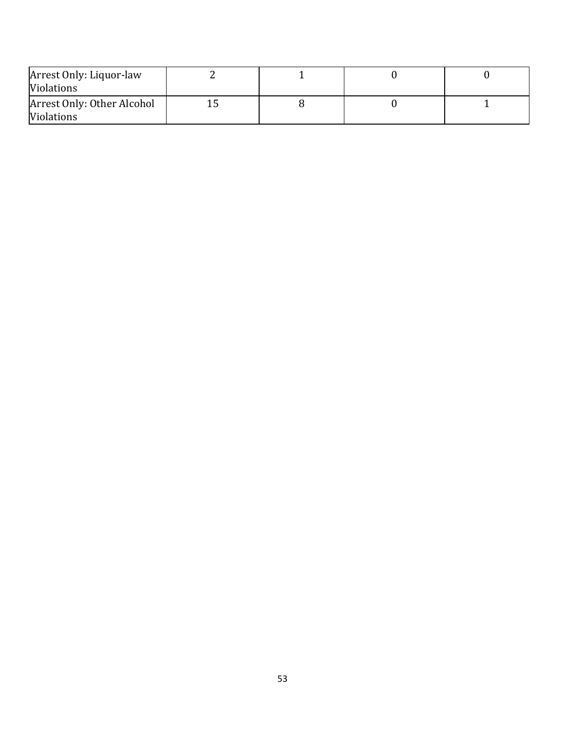| Arrest Only: Liquor-law<br><b>Violations</b>    |  |  |
|-------------------------------------------------|--|--|
| Arrest Only: Other Alcohol<br><b>Violations</b> |  |  |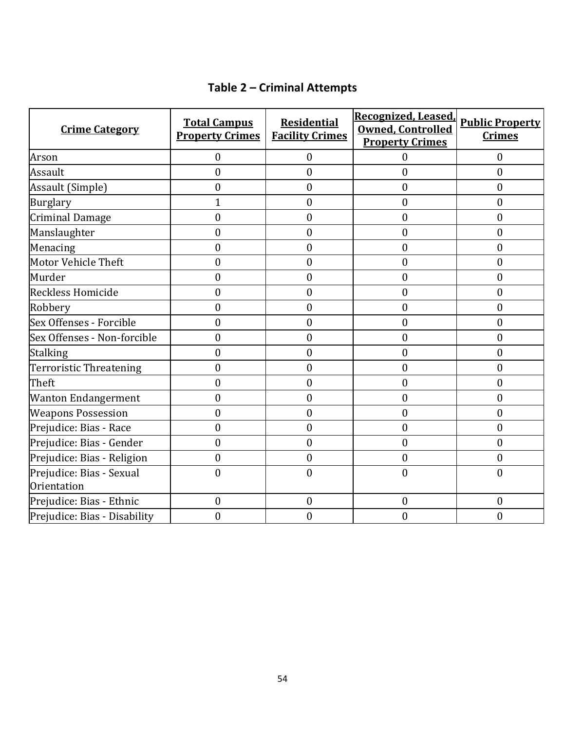## **Table 2 – Criminal Attempts**

| <b>Crime Category</b>                   | <b>Total Campus</b><br><b>Property Crimes</b> | <b>Residential</b><br><b>Facility Crimes</b> | Recognized, Leased,<br><b>Owned, Controlled</b><br><b>Property Crimes</b> | <b>Public Property</b><br><b>Crimes</b> |
|-----------------------------------------|-----------------------------------------------|----------------------------------------------|---------------------------------------------------------------------------|-----------------------------------------|
| Arson                                   | $\mathbf{0}$                                  | $\mathbf{0}$                                 | $\theta$                                                                  | $\mathbf{0}$                            |
| Assault                                 | $\boldsymbol{0}$                              | $\boldsymbol{0}$                             | $\mathbf{0}$                                                              | $\boldsymbol{0}$                        |
| Assault (Simple)                        | $\boldsymbol{0}$                              | $\boldsymbol{0}$                             | $\boldsymbol{0}$                                                          | $\boldsymbol{0}$                        |
| <b>Burglary</b>                         | 1                                             | $\boldsymbol{0}$                             | $\boldsymbol{0}$                                                          | $\boldsymbol{0}$                        |
| <b>Criminal Damage</b>                  | $\boldsymbol{0}$                              | $\boldsymbol{0}$                             | $\boldsymbol{0}$                                                          | $\boldsymbol{0}$                        |
| Manslaughter                            | $\boldsymbol{0}$                              | $\boldsymbol{0}$                             | $\mathbf{0}$                                                              | $\boldsymbol{0}$                        |
| Menacing                                | $\boldsymbol{0}$                              | $\mathbf{0}$                                 | $\boldsymbol{0}$                                                          | $\boldsymbol{0}$                        |
| Motor Vehicle Theft                     | $\boldsymbol{0}$                              | $\mathbf{0}$                                 | $\mathbf{0}$                                                              | $\boldsymbol{0}$                        |
| Murder                                  | $\overline{0}$                                | $\overline{0}$                               | $\mathbf{0}$                                                              | $\mathbf{0}$                            |
| Reckless Homicide                       | $\boldsymbol{0}$                              | $\boldsymbol{0}$                             | $\boldsymbol{0}$                                                          | $\boldsymbol{0}$                        |
| Robbery                                 | $\boldsymbol{0}$                              | $\boldsymbol{0}$                             | $\boldsymbol{0}$                                                          | $\boldsymbol{0}$                        |
| Sex Offenses - Forcible                 | $\mathbf{0}$                                  | $\mathbf{0}$                                 | $\mathbf{0}$                                                              | $\boldsymbol{0}$                        |
| Sex Offenses - Non-forcible             | $\boldsymbol{0}$                              | $\boldsymbol{0}$                             | $\boldsymbol{0}$                                                          | $\boldsymbol{0}$                        |
| <b>Stalking</b>                         | $\mathbf{0}$                                  | $\mathbf{0}$                                 | $\boldsymbol{0}$                                                          | $\boldsymbol{0}$                        |
| Terroristic Threatening                 | $\mathbf{0}$                                  | $\mathbf{0}$                                 | $\mathbf{0}$                                                              | $\boldsymbol{0}$                        |
| Theft                                   | $\mathbf{0}$                                  | $\overline{0}$                               | $\mathbf{0}$                                                              | $\boldsymbol{0}$                        |
| <b>Wanton Endangerment</b>              | $\overline{0}$                                | $\mathbf{0}$                                 | $\mathbf{0}$                                                              | $\mathbf{0}$                            |
| <b>Weapons Possession</b>               | $\mathbf{0}$                                  | $\overline{0}$                               | $\mathbf{0}$                                                              | $\mathbf{0}$                            |
| Prejudice: Bias - Race                  | $\mathbf{0}$                                  | $\mathbf{0}$                                 | $\mathbf{0}$                                                              | $\boldsymbol{0}$                        |
| Prejudice: Bias - Gender                | $\mathbf{0}$                                  | $\mathbf{0}$                                 | $\mathbf{0}$                                                              | $\mathbf{0}$                            |
| Prejudice: Bias - Religion              | $\boldsymbol{0}$                              | $\mathbf{0}$                                 | $\boldsymbol{0}$                                                          | $\boldsymbol{0}$                        |
| Prejudice: Bias - Sexual<br>Orientation | $\overline{0}$                                | $\mathbf{0}$                                 | $\mathbf{0}$                                                              | $\mathbf{0}$                            |
| Prejudice: Bias - Ethnic                | $\mathbf{0}$                                  | $\mathbf{0}$                                 | $\mathbf{0}$                                                              | $\mathbf{0}$                            |
| Prejudice: Bias - Disability            | $\overline{0}$                                | $\mathbf{0}$                                 | $\mathbf{0}$                                                              | $\mathbf{0}$                            |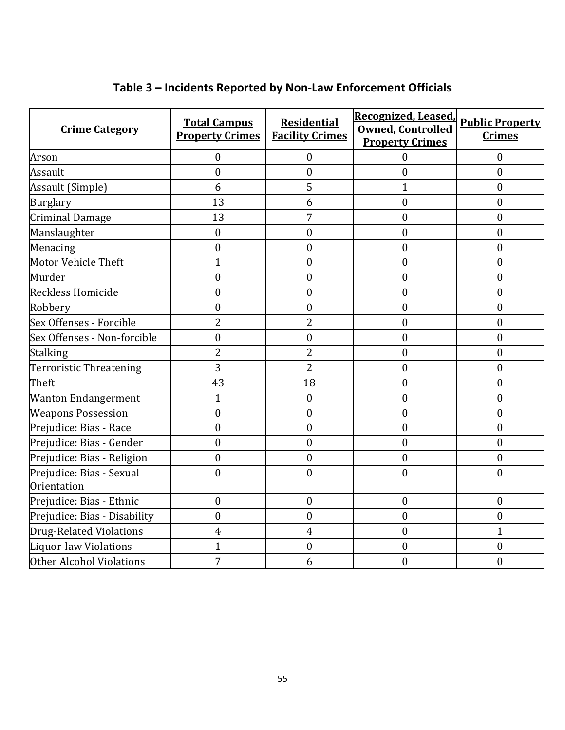| <b>Crime Category</b>                   | <b>Total Campus</b><br><b>Property Crimes</b> | <b>Residential</b><br><b>Facility Crimes</b> | Recognized, Leased,<br><b>Owned, Controlled</b><br><b>Property Crimes</b> | <b>Public Property</b><br><b>Crimes</b> |
|-----------------------------------------|-----------------------------------------------|----------------------------------------------|---------------------------------------------------------------------------|-----------------------------------------|
| Arson                                   | $\mathbf{0}$                                  | $\boldsymbol{0}$                             | $\boldsymbol{0}$                                                          | $\boldsymbol{0}$                        |
| Assault                                 | $\mathbf{0}$                                  | $\mathbf{0}$                                 | $\boldsymbol{0}$                                                          | $\mathbf{0}$                            |
| Assault (Simple)                        | 6                                             | 5                                            | $\mathbf{1}$                                                              | $\mathbf{0}$                            |
| Burglary                                | 13                                            | 6                                            | $\boldsymbol{0}$                                                          | $\boldsymbol{0}$                        |
| <b>Criminal Damage</b>                  | 13                                            | 7                                            | $\boldsymbol{0}$                                                          | $\boldsymbol{0}$                        |
| Manslaughter                            | $\boldsymbol{0}$                              | $\boldsymbol{0}$                             | $\boldsymbol{0}$                                                          | $\boldsymbol{0}$                        |
| Menacing                                | $\mathbf{0}$                                  | $\boldsymbol{0}$                             | $\boldsymbol{0}$                                                          | $\mathbf{0}$                            |
| Motor Vehicle Theft                     | $\mathbf{1}$                                  | $\mathbf{0}$                                 | $\boldsymbol{0}$                                                          | $\boldsymbol{0}$                        |
| Murder                                  | $\boldsymbol{0}$                              | $\boldsymbol{0}$                             | $\boldsymbol{0}$                                                          | $\boldsymbol{0}$                        |
| Reckless Homicide                       | $\boldsymbol{0}$                              | $\mathbf{0}$                                 | $\boldsymbol{0}$                                                          | $\mathbf{0}$                            |
| Robbery                                 | $\boldsymbol{0}$                              | $\boldsymbol{0}$                             | $\boldsymbol{0}$                                                          | $\boldsymbol{0}$                        |
| Sex Offenses - Forcible                 | $\overline{2}$                                | 2                                            | $\boldsymbol{0}$                                                          | $\mathbf{0}$                            |
| Sex Offenses - Non-forcible             | $\mathbf{0}$                                  | $\mathbf{0}$                                 | $\boldsymbol{0}$                                                          | $\mathbf{0}$                            |
| Stalking                                | $\overline{2}$                                | $\overline{2}$                               | $\boldsymbol{0}$                                                          | $\mathbf{0}$                            |
| Terroristic Threatening                 | 3                                             | $\overline{2}$                               | $\boldsymbol{0}$                                                          | $\boldsymbol{0}$                        |
| Theft                                   | 43                                            | 18                                           | $\mathbf{0}$                                                              | $\mathbf{0}$                            |
| <b>Wanton Endangerment</b>              | $\mathbf{1}$                                  | $\mathbf{0}$                                 | $\boldsymbol{0}$                                                          | $\mathbf{0}$                            |
| <b>Weapons Possession</b>               | $\boldsymbol{0}$                              | $\boldsymbol{0}$                             | $\boldsymbol{0}$                                                          | $\boldsymbol{0}$                        |
| Prejudice: Bias - Race                  | $\boldsymbol{0}$                              | $\mathbf{0}$                                 | $\boldsymbol{0}$                                                          | $\boldsymbol{0}$                        |
| Prejudice: Bias - Gender                | $\boldsymbol{0}$                              | $\mathbf{0}$                                 | $\boldsymbol{0}$                                                          | $\boldsymbol{0}$                        |
| Prejudice: Bias - Religion              | $\boldsymbol{0}$                              | $\mathbf{0}$                                 | $\boldsymbol{0}$                                                          | $\boldsymbol{0}$                        |
| Prejudice: Bias - Sexual<br>Orientation | $\mathbf{0}$                                  | $\boldsymbol{0}$                             | $\boldsymbol{0}$                                                          | $\boldsymbol{0}$                        |
| Prejudice: Bias - Ethnic                | $\boldsymbol{0}$                              | $\boldsymbol{0}$                             | $\boldsymbol{0}$                                                          | $\boldsymbol{0}$                        |
| Prejudice: Bias - Disability            | $\mathbf{0}$                                  | $\overline{0}$                               | $\boldsymbol{0}$                                                          | $\boldsymbol{0}$                        |
| Drug-Related Violations                 | 4                                             | 4                                            | $\boldsymbol{0}$                                                          | $\mathbf{1}$                            |
| Liquor-law Violations                   | $\mathbf{1}$                                  | $\boldsymbol{0}$                             | $\mathbf{0}$                                                              | $\boldsymbol{0}$                        |
| Other Alcohol Violations                | 7                                             | 6                                            | $\boldsymbol{0}$                                                          | $\boldsymbol{0}$                        |

## **Table 3 – Incidents Reported by Non-Law Enforcement Officials**